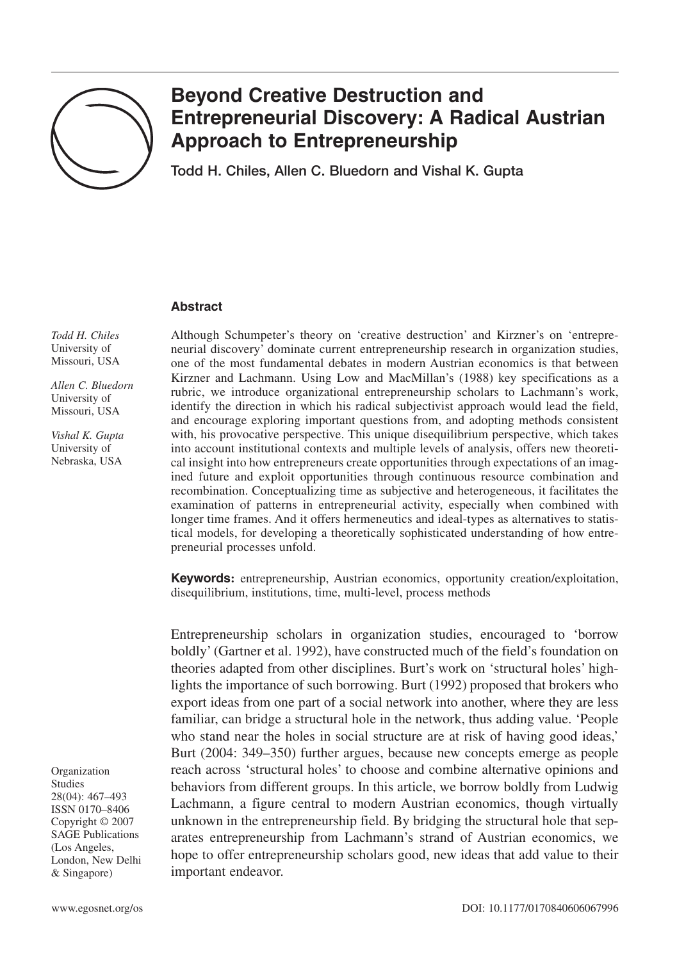

# **Beyond Creative Destruction and Entrepreneurial Discovery: A Radical Austrian Approach to Entrepreneurship**

**Todd H. Chiles, Allen C. Bluedorn and Vishal K. Gupta**

## **Abstract**

*Todd H. Chiles*  University of Missouri, USA

*Allen C. Bluedorn* University of Missouri, USA

*Vishal K. Gupta* University of Nebraska, USA

Organization Studies 28(04): 467–493 ISSN 0170–8406 Copyright © 2007 SAGE Publications (Los Angeles, London, New Delhi & Singapore)

Although Schumpeter's theory on 'creative destruction' and Kirzner's on 'entrepreneurial discovery' dominate current entrepreneurship research in organization studies, one of the most fundamental debates in modern Austrian economics is that between Kirzner and Lachmann. Using Low and MacMillan's (1988) key specifications as a rubric, we introduce organizational entrepreneurship scholars to Lachmann's work, identify the direction in which his radical subjectivist approach would lead the field, and encourage exploring important questions from, and adopting methods consistent with, his provocative perspective. This unique disequilibrium perspective, which takes into account institutional contexts and multiple levels of analysis, offers new theoretical insight into how entrepreneurs create opportunities through expectations of an imagined future and exploit opportunities through continuous resource combination and recombination. Conceptualizing time as subjective and heterogeneous, it facilitates the examination of patterns in entrepreneurial activity, especially when combined with longer time frames. And it offers hermeneutics and ideal-types as alternatives to statistical models, for developing a theoretically sophisticated understanding of how entrepreneurial processes unfold.

**Keywords:** entrepreneurship, Austrian economics, opportunity creation/exploitation, disequilibrium, institutions, time, multi-level, process methods

Entrepreneurship scholars in organization studies, encouraged to 'borrow boldly' (Gartner et al. 1992), have constructed much of the field's foundation on theories adapted from other disciplines. Burt's work on 'structural holes' highlights the importance of such borrowing. Burt (1992) proposed that brokers who export ideas from one part of a social network into another, where they are less familiar, can bridge a structural hole in the network, thus adding value. 'People who stand near the holes in social structure are at risk of having good ideas,' Burt (2004: 349–350) further argues, because new concepts emerge as people reach across 'structural holes' to choose and combine alternative opinions and behaviors from different groups. In this article, we borrow boldly from Ludwig Lachmann, a figure central to modern Austrian economics, though virtually unknown in the entrepreneurship field. By bridging the structural hole that separates entrepreneurship from Lachmann's strand of Austrian economics, we hope to offer entrepreneurship scholars good, new ideas that add value to their important endeavor.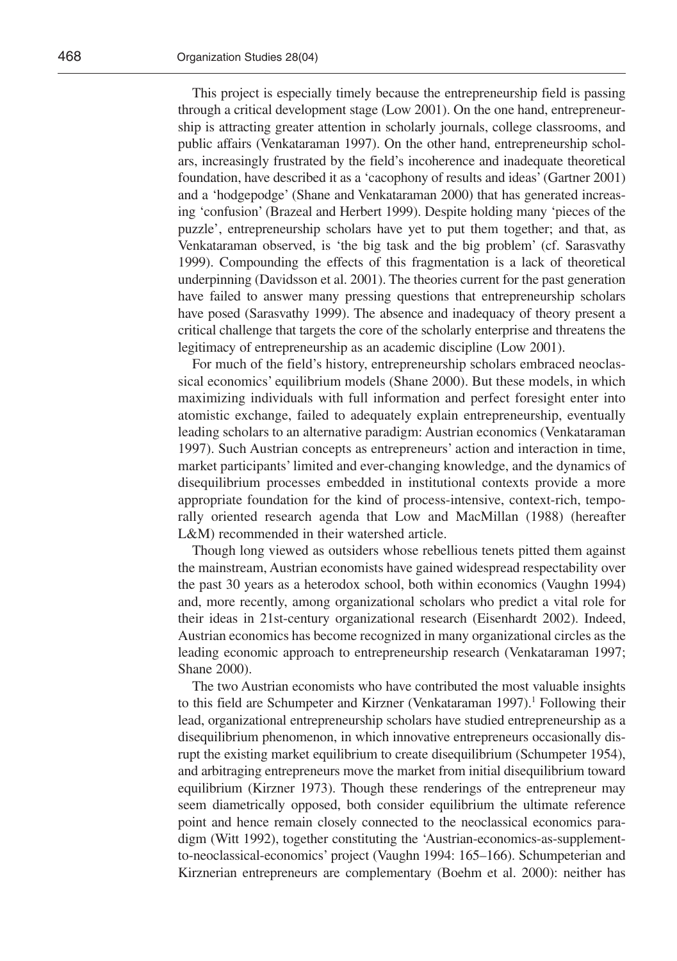This project is especially timely because the entrepreneurship field is passing through a critical development stage (Low 2001). On the one hand, entrepreneurship is attracting greater attention in scholarly journals, college classrooms, and public affairs (Venkataraman 1997). On the other hand, entrepreneurship scholars, increasingly frustrated by the field's incoherence and inadequate theoretical foundation, have described it as a 'cacophony of results and ideas' (Gartner 2001) and a 'hodgepodge' (Shane and Venkataraman 2000) that has generated increasing 'confusion' (Brazeal and Herbert 1999). Despite holding many 'pieces of the puzzle', entrepreneurship scholars have yet to put them together; and that, as Venkataraman observed, is 'the big task and the big problem' (cf. Sarasvathy 1999). Compounding the effects of this fragmentation is a lack of theoretical underpinning (Davidsson et al. 2001). The theories current for the past generation have failed to answer many pressing questions that entrepreneurship scholars have posed (Sarasvathy 1999). The absence and inadequacy of theory present a critical challenge that targets the core of the scholarly enterprise and threatens the legitimacy of entrepreneurship as an academic discipline (Low 2001).

For much of the field's history, entrepreneurship scholars embraced neoclassical economics' equilibrium models (Shane 2000). But these models, in which maximizing individuals with full information and perfect foresight enter into atomistic exchange, failed to adequately explain entrepreneurship, eventually leading scholars to an alternative paradigm: Austrian economics (Venkataraman 1997). Such Austrian concepts as entrepreneurs' action and interaction in time, market participants' limited and ever-changing knowledge, and the dynamics of disequilibrium processes embedded in institutional contexts provide a more appropriate foundation for the kind of process-intensive, context-rich, temporally oriented research agenda that Low and MacMillan (1988) (hereafter L&M) recommended in their watershed article.

Though long viewed as outsiders whose rebellious tenets pitted them against the mainstream, Austrian economists have gained widespread respectability over the past 30 years as a heterodox school, both within economics (Vaughn 1994) and, more recently, among organizational scholars who predict a vital role for their ideas in 21st-century organizational research (Eisenhardt 2002). Indeed, Austrian economics has become recognized in many organizational circles as the leading economic approach to entrepreneurship research (Venkataraman 1997; Shane 2000).

The two Austrian economists who have contributed the most valuable insights to this field are Schumpeter and Kirzner (Venkataraman 1997).<sup>1</sup> Following their lead, organizational entrepreneurship scholars have studied entrepreneurship as a disequilibrium phenomenon, in which innovative entrepreneurs occasionally disrupt the existing market equilibrium to create disequilibrium (Schumpeter 1954), and arbitraging entrepreneurs move the market from initial disequilibrium toward equilibrium (Kirzner 1973). Though these renderings of the entrepreneur may seem diametrically opposed, both consider equilibrium the ultimate reference point and hence remain closely connected to the neoclassical economics paradigm (Witt 1992), together constituting the 'Austrian-economics-as-supplementto-neoclassical-economics' project (Vaughn 1994: 165–166). Schumpeterian and Kirznerian entrepreneurs are complementary (Boehm et al. 2000): neither has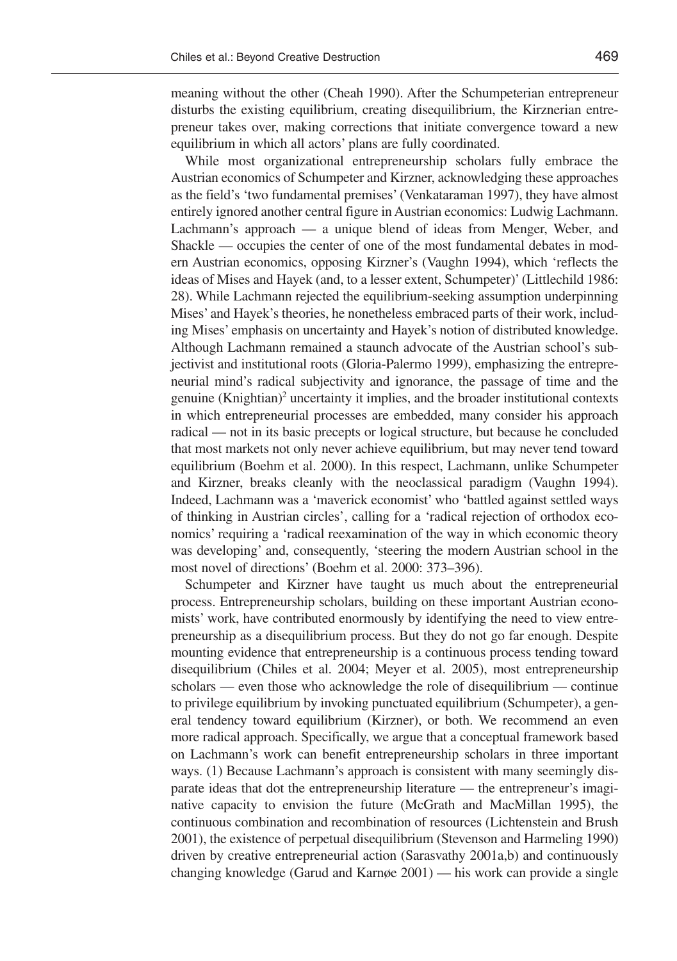meaning without the other (Cheah 1990). After the Schumpeterian entrepreneur disturbs the existing equilibrium, creating disequilibrium, the Kirznerian entrepreneur takes over, making corrections that initiate convergence toward a new equilibrium in which all actors' plans are fully coordinated.

While most organizational entrepreneurship scholars fully embrace the Austrian economics of Schumpeter and Kirzner, acknowledging these approaches as the field's 'two fundamental premises' (Venkataraman 1997), they have almost entirely ignored another central figure in Austrian economics: Ludwig Lachmann. Lachmann's approach — a unique blend of ideas from Menger, Weber, and Shackle — occupies the center of one of the most fundamental debates in modern Austrian economics, opposing Kirzner's (Vaughn 1994), which 'reflects the ideas of Mises and Hayek (and, to a lesser extent, Schumpeter)' (Littlechild 1986: 28). While Lachmann rejected the equilibrium-seeking assumption underpinning Mises' and Hayek's theories, he nonetheless embraced parts of their work, including Mises' emphasis on uncertainty and Hayek's notion of distributed knowledge. Although Lachmann remained a staunch advocate of the Austrian school's subjectivist and institutional roots (Gloria-Palermo 1999), emphasizing the entrepreneurial mind's radical subjectivity and ignorance, the passage of time and the genuine  $(Knightian)^2$  uncertainty it implies, and the broader institutional contexts in which entrepreneurial processes are embedded, many consider his approach radical — not in its basic precepts or logical structure, but because he concluded that most markets not only never achieve equilibrium, but may never tend toward equilibrium (Boehm et al. 2000). In this respect, Lachmann, unlike Schumpeter and Kirzner, breaks cleanly with the neoclassical paradigm (Vaughn 1994). Indeed, Lachmann was a 'maverick economist' who 'battled against settled ways of thinking in Austrian circles', calling for a 'radical rejection of orthodox economics' requiring a 'radical reexamination of the way in which economic theory was developing' and, consequently, 'steering the modern Austrian school in the most novel of directions' (Boehm et al. 2000: 373–396).

Schumpeter and Kirzner have taught us much about the entrepreneurial process. Entrepreneurship scholars, building on these important Austrian economists' work, have contributed enormously by identifying the need to view entrepreneurship as a disequilibrium process. But they do not go far enough. Despite mounting evidence that entrepreneurship is a continuous process tending toward disequilibrium (Chiles et al. 2004; Meyer et al. 2005), most entrepreneurship scholars — even those who acknowledge the role of disequilibrium — continue to privilege equilibrium by invoking punctuated equilibrium (Schumpeter), a general tendency toward equilibrium (Kirzner), or both. We recommend an even more radical approach. Specifically, we argue that a conceptual framework based on Lachmann's work can benefit entrepreneurship scholars in three important ways. (1) Because Lachmann's approach is consistent with many seemingly disparate ideas that dot the entrepreneurship literature — the entrepreneur's imaginative capacity to envision the future (McGrath and MacMillan 1995), the continuous combination and recombination of resources (Lichtenstein and Brush 2001), the existence of perpetual disequilibrium (Stevenson and Harmeling 1990) driven by creative entrepreneurial action (Sarasvathy 2001a,b) and continuously changing knowledge (Garud and Karnøe 2001) — his work can provide a single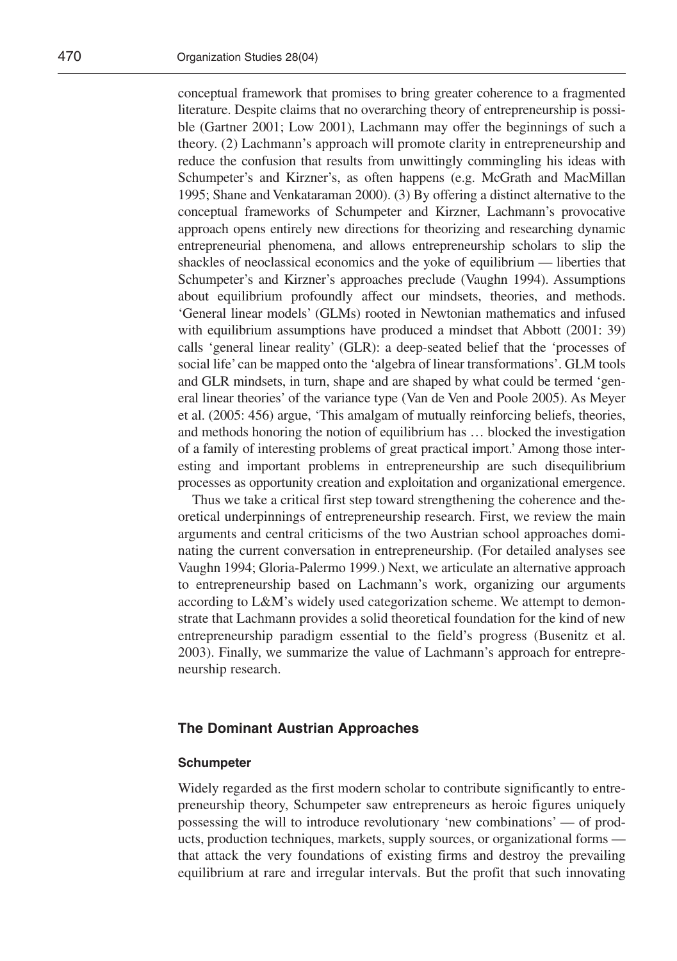conceptual framework that promises to bring greater coherence to a fragmented literature. Despite claims that no overarching theory of entrepreneurship is possible (Gartner 2001; Low 2001), Lachmann may offer the beginnings of such a theory. (2) Lachmann's approach will promote clarity in entrepreneurship and reduce the confusion that results from unwittingly commingling his ideas with Schumpeter's and Kirzner's, as often happens (e.g. McGrath and MacMillan 1995; Shane and Venkataraman 2000). (3) By offering a distinct alternative to the conceptual frameworks of Schumpeter and Kirzner, Lachmann's provocative approach opens entirely new directions for theorizing and researching dynamic entrepreneurial phenomena, and allows entrepreneurship scholars to slip the shackles of neoclassical economics and the yoke of equilibrium — liberties that Schumpeter's and Kirzner's approaches preclude (Vaughn 1994). Assumptions about equilibrium profoundly affect our mindsets, theories, and methods. 'General linear models' (GLMs) rooted in Newtonian mathematics and infused with equilibrium assumptions have produced a mindset that Abbott (2001: 39) calls 'general linear reality' (GLR): a deep-seated belief that the 'processes of social life' can be mapped onto the 'algebra of linear transformations'. GLM tools and GLR mindsets, in turn, shape and are shaped by what could be termed 'general linear theories' of the variance type (Van de Ven and Poole 2005). As Meyer et al. (2005: 456) argue, 'This amalgam of mutually reinforcing beliefs, theories, and methods honoring the notion of equilibrium has … blocked the investigation of a family of interesting problems of great practical import.'Among those interesting and important problems in entrepreneurship are such disequilibrium processes as opportunity creation and exploitation and organizational emergence.

Thus we take a critical first step toward strengthening the coherence and theoretical underpinnings of entrepreneurship research. First, we review the main arguments and central criticisms of the two Austrian school approaches dominating the current conversation in entrepreneurship. (For detailed analyses see Vaughn 1994; Gloria-Palermo 1999.) Next, we articulate an alternative approach to entrepreneurship based on Lachmann's work, organizing our arguments according to L&M's widely used categorization scheme. We attempt to demonstrate that Lachmann provides a solid theoretical foundation for the kind of new entrepreneurship paradigm essential to the field's progress (Busenitz et al. 2003). Finally, we summarize the value of Lachmann's approach for entrepreneurship research.

### **The Dominant Austrian Approaches**

#### **Schumpeter**

Widely regarded as the first modern scholar to contribute significantly to entrepreneurship theory, Schumpeter saw entrepreneurs as heroic figures uniquely possessing the will to introduce revolutionary 'new combinations' — of products, production techniques, markets, supply sources, or organizational forms that attack the very foundations of existing firms and destroy the prevailing equilibrium at rare and irregular intervals. But the profit that such innovating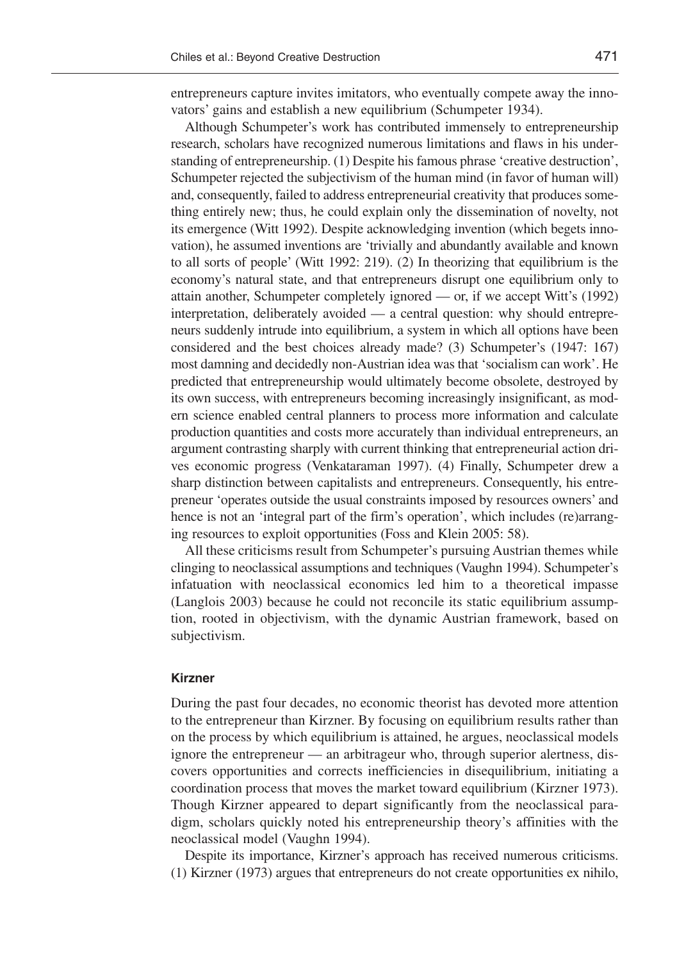entrepreneurs capture invites imitators, who eventually compete away the innovators' gains and establish a new equilibrium (Schumpeter 1934).

Although Schumpeter's work has contributed immensely to entrepreneurship research, scholars have recognized numerous limitations and flaws in his understanding of entrepreneurship. (1) Despite his famous phrase 'creative destruction', Schumpeter rejected the subjectivism of the human mind (in favor of human will) and, consequently, failed to address entrepreneurial creativity that produces something entirely new; thus, he could explain only the dissemination of novelty, not its emergence (Witt 1992). Despite acknowledging invention (which begets innovation), he assumed inventions are 'trivially and abundantly available and known to all sorts of people' (Witt 1992: 219). (2) In theorizing that equilibrium is the economy's natural state, and that entrepreneurs disrupt one equilibrium only to attain another, Schumpeter completely ignored — or, if we accept Witt's (1992) interpretation, deliberately avoided — a central question: why should entrepreneurs suddenly intrude into equilibrium, a system in which all options have been considered and the best choices already made? (3) Schumpeter's (1947: 167) most damning and decidedly non-Austrian idea was that 'socialism can work'. He predicted that entrepreneurship would ultimately become obsolete, destroyed by its own success, with entrepreneurs becoming increasingly insignificant, as modern science enabled central planners to process more information and calculate production quantities and costs more accurately than individual entrepreneurs, an argument contrasting sharply with current thinking that entrepreneurial action drives economic progress (Venkataraman 1997). (4) Finally, Schumpeter drew a sharp distinction between capitalists and entrepreneurs. Consequently, his entrepreneur 'operates outside the usual constraints imposed by resources owners' and hence is not an 'integral part of the firm's operation', which includes (re)arranging resources to exploit opportunities (Foss and Klein 2005: 58).

All these criticisms result from Schumpeter's pursuing Austrian themes while clinging to neoclassical assumptions and techniques (Vaughn 1994). Schumpeter's infatuation with neoclassical economics led him to a theoretical impasse (Langlois 2003) because he could not reconcile its static equilibrium assumption, rooted in objectivism, with the dynamic Austrian framework, based on subjectivism.

#### **Kirzner**

During the past four decades, no economic theorist has devoted more attention to the entrepreneur than Kirzner. By focusing on equilibrium results rather than on the process by which equilibrium is attained, he argues, neoclassical models ignore the entrepreneur — an arbitrageur who, through superior alertness, discovers opportunities and corrects inefficiencies in disequilibrium, initiating a coordination process that moves the market toward equilibrium (Kirzner 1973). Though Kirzner appeared to depart significantly from the neoclassical paradigm, scholars quickly noted his entrepreneurship theory's affinities with the neoclassical model (Vaughn 1994).

Despite its importance, Kirzner's approach has received numerous criticisms. (1) Kirzner (1973) argues that entrepreneurs do not create opportunities ex nihilo,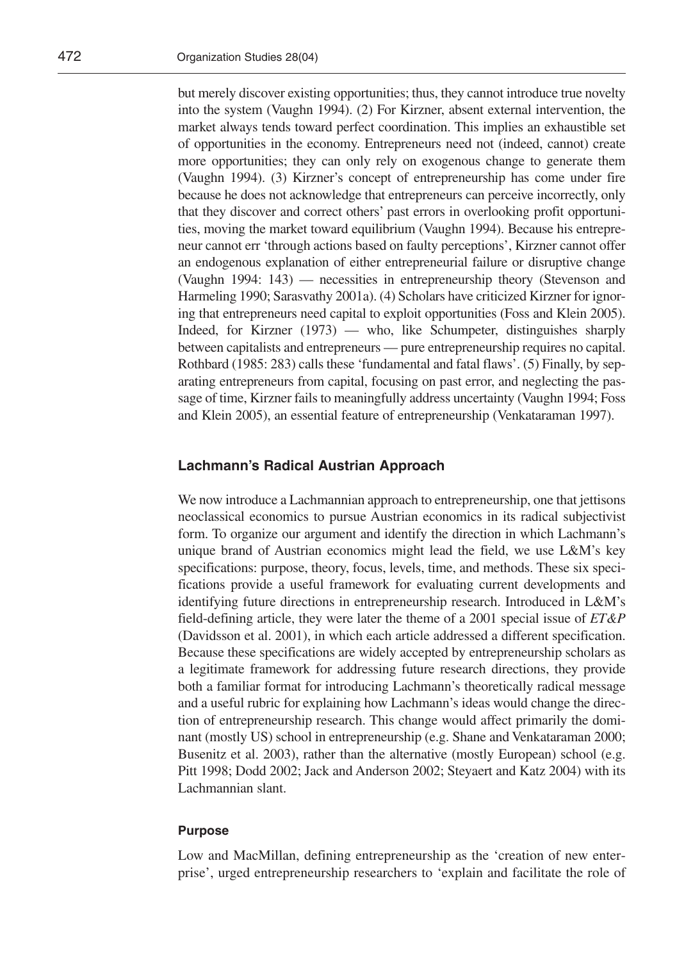but merely discover existing opportunities; thus, they cannot introduce true novelty into the system (Vaughn 1994). (2) For Kirzner, absent external intervention, the market always tends toward perfect coordination. This implies an exhaustible set of opportunities in the economy. Entrepreneurs need not (indeed, cannot) create more opportunities; they can only rely on exogenous change to generate them (Vaughn 1994). (3) Kirzner's concept of entrepreneurship has come under fire because he does not acknowledge that entrepreneurs can perceive incorrectly, only that they discover and correct others' past errors in overlooking profit opportunities, moving the market toward equilibrium (Vaughn 1994). Because his entrepreneur cannot err 'through actions based on faulty perceptions', Kirzner cannot offer an endogenous explanation of either entrepreneurial failure or disruptive change (Vaughn 1994: 143) — necessities in entrepreneurship theory (Stevenson and Harmeling 1990; Sarasvathy 2001a). (4) Scholars have criticized Kirzner for ignoring that entrepreneurs need capital to exploit opportunities (Foss and Klein 2005). Indeed, for Kirzner (1973) — who, like Schumpeter, distinguishes sharply between capitalists and entrepreneurs — pure entrepreneurship requires no capital. Rothbard (1985: 283) calls these 'fundamental and fatal flaws'. (5) Finally, by separating entrepreneurs from capital, focusing on past error, and neglecting the passage of time, Kirzner fails to meaningfully address uncertainty (Vaughn 1994; Foss and Klein 2005), an essential feature of entrepreneurship (Venkataraman 1997).

#### **Lachmann's Radical Austrian Approach**

We now introduce a Lachmannian approach to entrepreneurship, one that jettisons neoclassical economics to pursue Austrian economics in its radical subjectivist form. To organize our argument and identify the direction in which Lachmann's unique brand of Austrian economics might lead the field, we use L&M's key specifications: purpose, theory, focus, levels, time, and methods. These six specifications provide a useful framework for evaluating current developments and identifying future directions in entrepreneurship research. Introduced in L&M's field-defining article, they were later the theme of a 2001 special issue of *ET&P* (Davidsson et al. 2001), in which each article addressed a different specification. Because these specifications are widely accepted by entrepreneurship scholars as a legitimate framework for addressing future research directions, they provide both a familiar format for introducing Lachmann's theoretically radical message and a useful rubric for explaining how Lachmann's ideas would change the direction of entrepreneurship research. This change would affect primarily the dominant (mostly US) school in entrepreneurship (e.g. Shane and Venkataraman 2000; Busenitz et al. 2003), rather than the alternative (mostly European) school (e.g. Pitt 1998; Dodd 2002; Jack and Anderson 2002; Steyaert and Katz 2004) with its Lachmannian slant.

#### **Purpose**

Low and MacMillan, defining entrepreneurship as the 'creation of new enterprise', urged entrepreneurship researchers to 'explain and facilitate the role of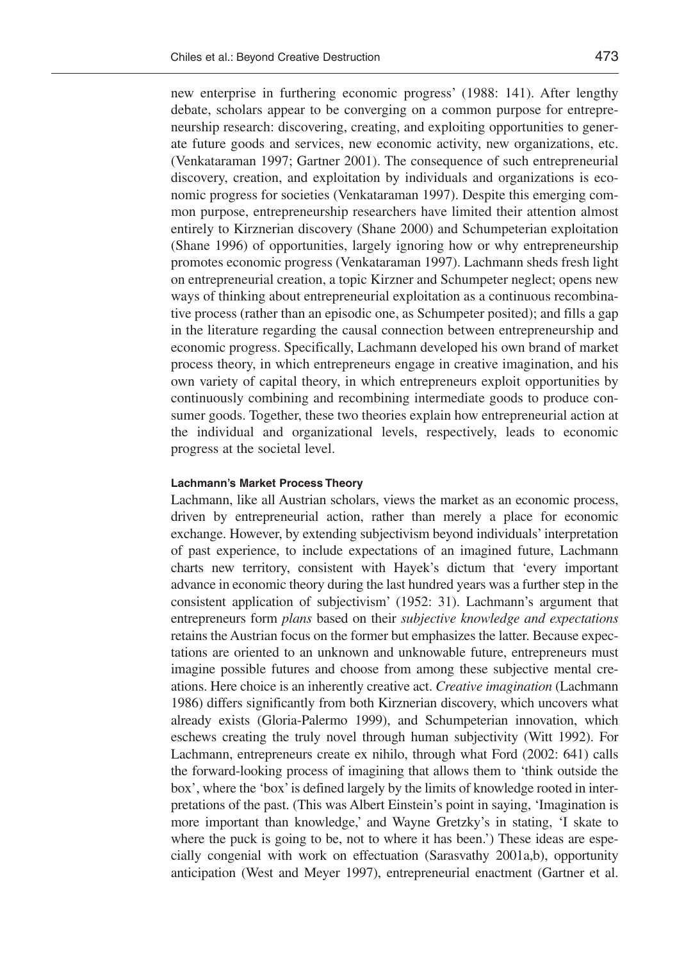new enterprise in furthering economic progress' (1988: 141). After lengthy debate, scholars appear to be converging on a common purpose for entrepreneurship research: discovering, creating, and exploiting opportunities to generate future goods and services, new economic activity, new organizations, etc. (Venkataraman 1997; Gartner 2001). The consequence of such entrepreneurial discovery, creation, and exploitation by individuals and organizations is economic progress for societies (Venkataraman 1997). Despite this emerging common purpose, entrepreneurship researchers have limited their attention almost entirely to Kirznerian discovery (Shane 2000) and Schumpeterian exploitation (Shane 1996) of opportunities, largely ignoring how or why entrepreneurship promotes economic progress (Venkataraman 1997). Lachmann sheds fresh light on entrepreneurial creation, a topic Kirzner and Schumpeter neglect; opens new ways of thinking about entrepreneurial exploitation as a continuous recombinative process (rather than an episodic one, as Schumpeter posited); and fills a gap in the literature regarding the causal connection between entrepreneurship and economic progress. Specifically, Lachmann developed his own brand of market process theory, in which entrepreneurs engage in creative imagination, and his own variety of capital theory, in which entrepreneurs exploit opportunities by continuously combining and recombining intermediate goods to produce consumer goods. Together, these two theories explain how entrepreneurial action at the individual and organizational levels, respectively, leads to economic progress at the societal level.

#### **Lachmann's Market Process Theory**

Lachmann, like all Austrian scholars, views the market as an economic process, driven by entrepreneurial action, rather than merely a place for economic exchange. However, by extending subjectivism beyond individuals' interpretation of past experience, to include expectations of an imagined future, Lachmann charts new territory, consistent with Hayek's dictum that 'every important advance in economic theory during the last hundred years was a further step in the consistent application of subjectivism' (1952: 31). Lachmann's argument that entrepreneurs form *plans* based on their *subjective knowledge and expectations* retains the Austrian focus on the former but emphasizes the latter. Because expectations are oriented to an unknown and unknowable future, entrepreneurs must imagine possible futures and choose from among these subjective mental creations. Here choice is an inherently creative act. *Creative imagination* (Lachmann 1986) differs significantly from both Kirznerian discovery, which uncovers what already exists (Gloria-Palermo 1999), and Schumpeterian innovation, which eschews creating the truly novel through human subjectivity (Witt 1992). For Lachmann, entrepreneurs create ex nihilo, through what Ford (2002: 641) calls the forward-looking process of imagining that allows them to 'think outside the box', where the 'box' is defined largely by the limits of knowledge rooted in interpretations of the past. (This was Albert Einstein's point in saying, 'Imagination is more important than knowledge,' and Wayne Gretzky's in stating, 'I skate to where the puck is going to be, not to where it has been.') These ideas are especially congenial with work on effectuation (Sarasvathy 2001a,b), opportunity anticipation (West and Meyer 1997), entrepreneurial enactment (Gartner et al.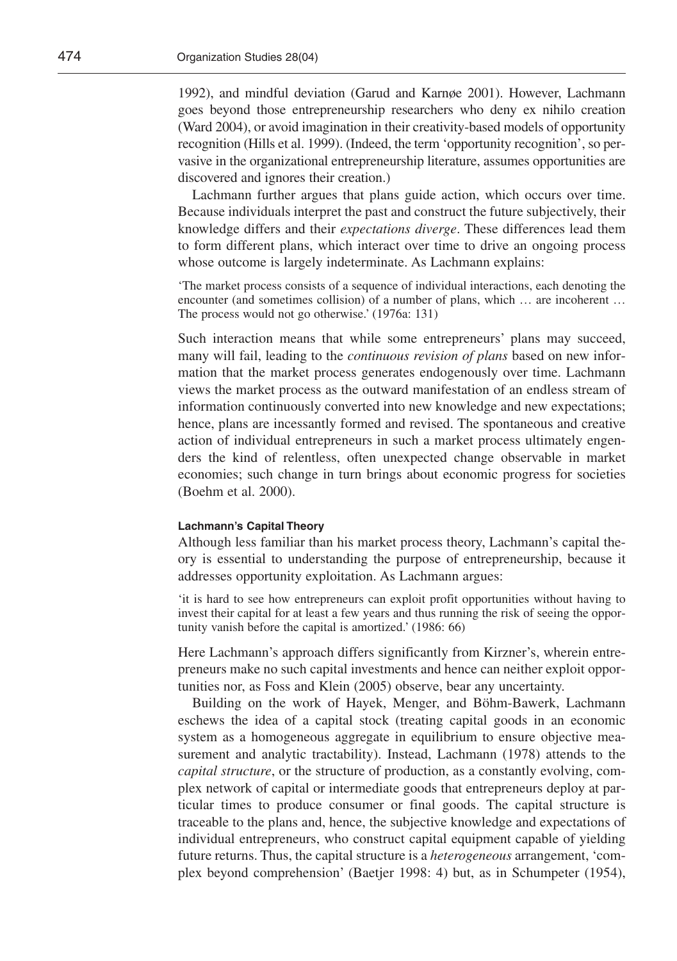1992), and mindful deviation (Garud and Karnøe 2001). However, Lachmann goes beyond those entrepreneurship researchers who deny ex nihilo creation (Ward 2004), or avoid imagination in their creativity-based models of opportunity recognition (Hills et al. 1999). (Indeed, the term 'opportunity recognition', so pervasive in the organizational entrepreneurship literature, assumes opportunities are discovered and ignores their creation.)

Lachmann further argues that plans guide action, which occurs over time. Because individuals interpret the past and construct the future subjectively, their knowledge differs and their *expectations diverge*. These differences lead them to form different plans, which interact over time to drive an ongoing process whose outcome is largely indeterminate. As Lachmann explains:

'The market process consists of a sequence of individual interactions, each denoting the encounter (and sometimes collision) of a number of plans, which … are incoherent … The process would not go otherwise.' (1976a: 131)

Such interaction means that while some entrepreneurs' plans may succeed, many will fail, leading to the *continuous revision of plans* based on new information that the market process generates endogenously over time. Lachmann views the market process as the outward manifestation of an endless stream of information continuously converted into new knowledge and new expectations; hence, plans are incessantly formed and revised. The spontaneous and creative action of individual entrepreneurs in such a market process ultimately engenders the kind of relentless, often unexpected change observable in market economies; such change in turn brings about economic progress for societies (Boehm et al. 2000).

#### **Lachmann's Capital Theory**

Although less familiar than his market process theory, Lachmann's capital theory is essential to understanding the purpose of entrepreneurship, because it addresses opportunity exploitation. As Lachmann argues:

'it is hard to see how entrepreneurs can exploit profit opportunities without having to invest their capital for at least a few years and thus running the risk of seeing the opportunity vanish before the capital is amortized.' (1986: 66)

Here Lachmann's approach differs significantly from Kirzner's, wherein entrepreneurs make no such capital investments and hence can neither exploit opportunities nor, as Foss and Klein (2005) observe, bear any uncertainty.

Building on the work of Hayek, Menger, and Böhm-Bawerk, Lachmann eschews the idea of a capital stock (treating capital goods in an economic system as a homogeneous aggregate in equilibrium to ensure objective measurement and analytic tractability). Instead, Lachmann (1978) attends to the *capital structure*, or the structure of production, as a constantly evolving, complex network of capital or intermediate goods that entrepreneurs deploy at particular times to produce consumer or final goods. The capital structure is traceable to the plans and, hence, the subjective knowledge and expectations of individual entrepreneurs, who construct capital equipment capable of yielding future returns. Thus, the capital structure is a *heterogeneous* arrangement, 'complex beyond comprehension' (Baetjer 1998: 4) but, as in Schumpeter (1954),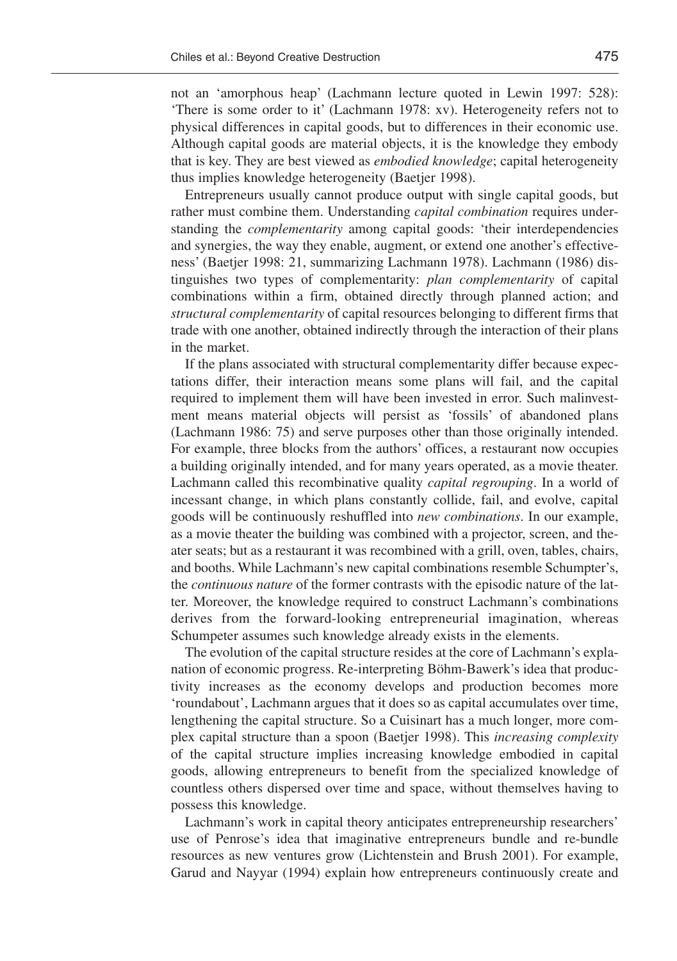not an 'amorphous heap' (Lachmann lecture quoted in Lewin 1997: 528): 'There is some order to it' (Lachmann 1978: xv). Heterogeneity refers not to physical differences in capital goods, but to differences in their economic use. Although capital goods are material objects, it is the knowledge they embody that is key. They are best viewed as *embodied knowledge*; capital heterogeneity thus implies knowledge heterogeneity (Baetjer 1998).

Entrepreneurs usually cannot produce output with single capital goods, but rather must combine them. Understanding *capital combination* requires understanding the *complementarity* among capital goods: 'their interdependencies and synergies, the way they enable, augment, or extend one another's effectiveness' (Baetjer 1998: 21, summarizing Lachmann 1978). Lachmann (1986) distinguishes two types of complementarity: *plan complementarity* of capital combinations within a firm, obtained directly through planned action; and *structural complementarity* of capital resources belonging to different firms that trade with one another, obtained indirectly through the interaction of their plans in the market.

If the plans associated with structural complementarity differ because expectations differ, their interaction means some plans will fail, and the capital required to implement them will have been invested in error. Such malinvestment means material objects will persist as 'fossils' of abandoned plans (Lachmann 1986: 75) and serve purposes other than those originally intended. For example, three blocks from the authors' offices, a restaurant now occupies a building originally intended, and for many years operated, as a movie theater. Lachmann called this recombinative quality *capital regrouping*. In a world of incessant change, in which plans constantly collide, fail, and evolve, capital goods will be continuously reshuffled into *new combinations*. In our example, as a movie theater the building was combined with a projector, screen, and theater seats; but as a restaurant it was recombined with a grill, oven, tables, chairs, and booths. While Lachmann's new capital combinations resemble Schumpter's, the *continuous nature* of the former contrasts with the episodic nature of the latter. Moreover, the knowledge required to construct Lachmann's combinations derives from the forward-looking entrepreneurial imagination, whereas Schumpeter assumes such knowledge already exists in the elements.

The evolution of the capital structure resides at the core of Lachmann's explanation of economic progress. Re-interpreting Böhm-Bawerk's idea that productivity increases as the economy develops and production becomes more 'roundabout', Lachmann argues that it does so as capital accumulates over time, lengthening the capital structure. So a Cuisinart has a much longer, more complex capital structure than a spoon (Baetjer 1998). This *increasing complexity* of the capital structure implies increasing knowledge embodied in capital goods, allowing entrepreneurs to benefit from the specialized knowledge of countless others dispersed over time and space, without themselves having to possess this knowledge.

Lachmann's work in capital theory anticipates entrepreneurship researchers' use of Penrose's idea that imaginative entrepreneurs bundle and re-bundle resources as new ventures grow (Lichtenstein and Brush 2001). For example, Garud and Nayyar (1994) explain how entrepreneurs continuously create and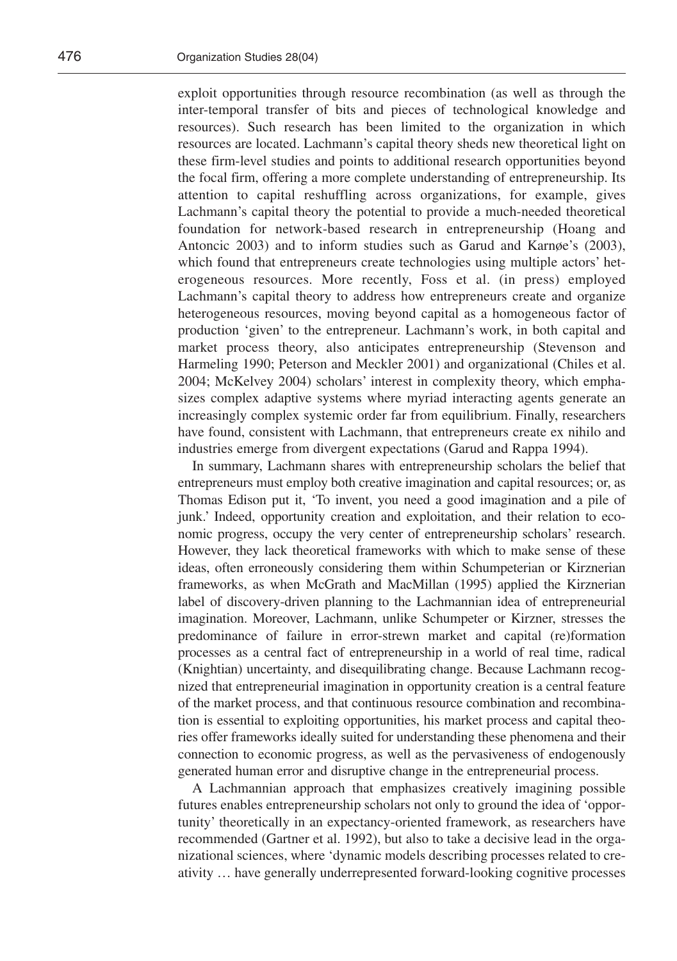exploit opportunities through resource recombination (as well as through the inter-temporal transfer of bits and pieces of technological knowledge and resources). Such research has been limited to the organization in which resources are located. Lachmann's capital theory sheds new theoretical light on these firm-level studies and points to additional research opportunities beyond the focal firm, offering a more complete understanding of entrepreneurship. Its attention to capital reshuffling across organizations, for example, gives Lachmann's capital theory the potential to provide a much-needed theoretical foundation for network-based research in entrepreneurship (Hoang and Antoncic 2003) and to inform studies such as Garud and Karnøe's (2003), which found that entrepreneurs create technologies using multiple actors' heterogeneous resources. More recently, Foss et al. (in press) employed Lachmann's capital theory to address how entrepreneurs create and organize heterogeneous resources, moving beyond capital as a homogeneous factor of production 'given' to the entrepreneur. Lachmann's work, in both capital and market process theory, also anticipates entrepreneurship (Stevenson and Harmeling 1990; Peterson and Meckler 2001) and organizational (Chiles et al. 2004; McKelvey 2004) scholars' interest in complexity theory, which emphasizes complex adaptive systems where myriad interacting agents generate an increasingly complex systemic order far from equilibrium. Finally, researchers have found, consistent with Lachmann, that entrepreneurs create ex nihilo and industries emerge from divergent expectations (Garud and Rappa 1994).

In summary, Lachmann shares with entrepreneurship scholars the belief that entrepreneurs must employ both creative imagination and capital resources; or, as Thomas Edison put it, 'To invent, you need a good imagination and a pile of junk.' Indeed, opportunity creation and exploitation, and their relation to economic progress, occupy the very center of entrepreneurship scholars' research. However, they lack theoretical frameworks with which to make sense of these ideas, often erroneously considering them within Schumpeterian or Kirznerian frameworks, as when McGrath and MacMillan (1995) applied the Kirznerian label of discovery-driven planning to the Lachmannian idea of entrepreneurial imagination. Moreover, Lachmann, unlike Schumpeter or Kirzner, stresses the predominance of failure in error-strewn market and capital (re)formation processes as a central fact of entrepreneurship in a world of real time, radical (Knightian) uncertainty, and disequilibrating change. Because Lachmann recognized that entrepreneurial imagination in opportunity creation is a central feature of the market process, and that continuous resource combination and recombination is essential to exploiting opportunities, his market process and capital theories offer frameworks ideally suited for understanding these phenomena and their connection to economic progress, as well as the pervasiveness of endogenously generated human error and disruptive change in the entrepreneurial process.

A Lachmannian approach that emphasizes creatively imagining possible futures enables entrepreneurship scholars not only to ground the idea of 'opportunity' theoretically in an expectancy-oriented framework, as researchers have recommended (Gartner et al. 1992), but also to take a decisive lead in the organizational sciences, where 'dynamic models describing processes related to creativity … have generally underrepresented forward-looking cognitive processes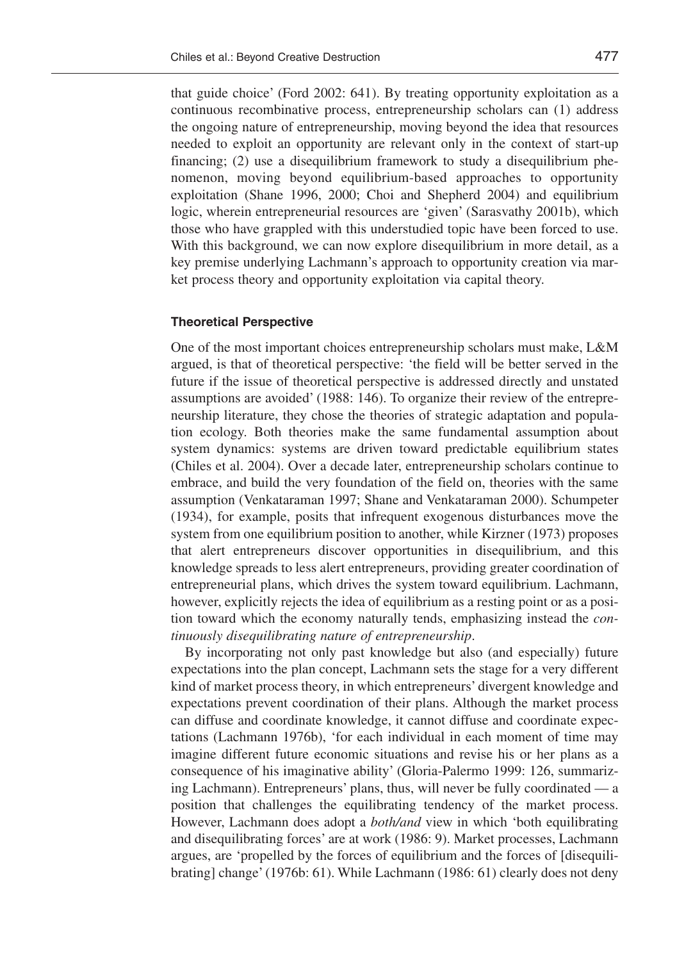that guide choice' (Ford 2002: 641). By treating opportunity exploitation as a continuous recombinative process, entrepreneurship scholars can (1) address the ongoing nature of entrepreneurship, moving beyond the idea that resources needed to exploit an opportunity are relevant only in the context of start-up financing; (2) use a disequilibrium framework to study a disequilibrium phenomenon, moving beyond equilibrium-based approaches to opportunity exploitation (Shane 1996, 2000; Choi and Shepherd 2004) and equilibrium logic, wherein entrepreneurial resources are 'given' (Sarasvathy 2001b), which those who have grappled with this understudied topic have been forced to use. With this background, we can now explore disequilibrium in more detail, as a key premise underlying Lachmann's approach to opportunity creation via market process theory and opportunity exploitation via capital theory.

#### **Theoretical Perspective**

One of the most important choices entrepreneurship scholars must make, L&M argued, is that of theoretical perspective: 'the field will be better served in the future if the issue of theoretical perspective is addressed directly and unstated assumptions are avoided' (1988: 146). To organize their review of the entrepreneurship literature, they chose the theories of strategic adaptation and population ecology. Both theories make the same fundamental assumption about system dynamics: systems are driven toward predictable equilibrium states (Chiles et al. 2004). Over a decade later, entrepreneurship scholars continue to embrace, and build the very foundation of the field on, theories with the same assumption (Venkataraman 1997; Shane and Venkataraman 2000). Schumpeter (1934), for example, posits that infrequent exogenous disturbances move the system from one equilibrium position to another, while Kirzner (1973) proposes that alert entrepreneurs discover opportunities in disequilibrium, and this knowledge spreads to less alert entrepreneurs, providing greater coordination of entrepreneurial plans, which drives the system toward equilibrium. Lachmann, however, explicitly rejects the idea of equilibrium as a resting point or as a position toward which the economy naturally tends, emphasizing instead the *continuously disequilibrating nature of entrepreneurship*.

By incorporating not only past knowledge but also (and especially) future expectations into the plan concept, Lachmann sets the stage for a very different kind of market process theory, in which entrepreneurs' divergent knowledge and expectations prevent coordination of their plans. Although the market process can diffuse and coordinate knowledge, it cannot diffuse and coordinate expectations (Lachmann 1976b), 'for each individual in each moment of time may imagine different future economic situations and revise his or her plans as a consequence of his imaginative ability' (Gloria-Palermo 1999: 126, summarizing Lachmann). Entrepreneurs' plans, thus, will never be fully coordinated — a position that challenges the equilibrating tendency of the market process. However, Lachmann does adopt a *both/and* view in which 'both equilibrating and disequilibrating forces' are at work (1986: 9). Market processes, Lachmann argues, are 'propelled by the forces of equilibrium and the forces of [disequilibrating] change' (1976b: 61). While Lachmann (1986: 61) clearly does not deny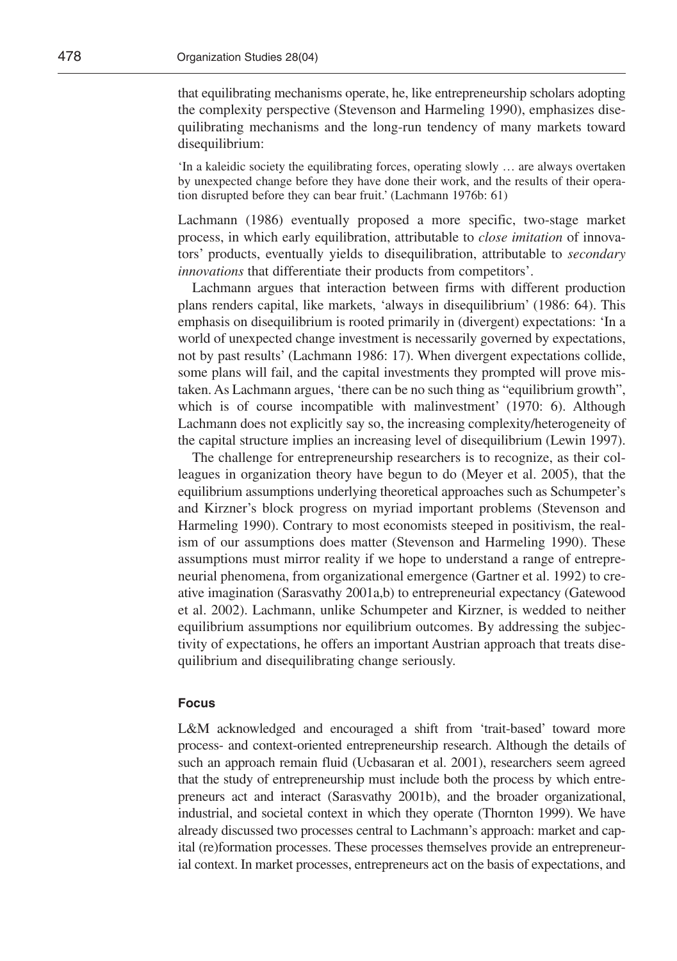that equilibrating mechanisms operate, he, like entrepreneurship scholars adopting the complexity perspective (Stevenson and Harmeling 1990), emphasizes disequilibrating mechanisms and the long-run tendency of many markets toward disequilibrium:

'In a kaleidic society the equilibrating forces, operating slowly … are always overtaken by unexpected change before they have done their work, and the results of their operation disrupted before they can bear fruit.' (Lachmann 1976b: 61)

Lachmann (1986) eventually proposed a more specific, two-stage market process, in which early equilibration, attributable to *close imitation* of innovators' products, eventually yields to disequilibration, attributable to *secondary innovations* that differentiate their products from competitors'.

Lachmann argues that interaction between firms with different production plans renders capital, like markets, 'always in disequilibrium' (1986: 64). This emphasis on disequilibrium is rooted primarily in (divergent) expectations: 'In a world of unexpected change investment is necessarily governed by expectations, not by past results' (Lachmann 1986: 17). When divergent expectations collide, some plans will fail, and the capital investments they prompted will prove mistaken. As Lachmann argues, 'there can be no such thing as "equilibrium growth", which is of course incompatible with malinvestment' (1970: 6). Although Lachmann does not explicitly say so, the increasing complexity/heterogeneity of the capital structure implies an increasing level of disequilibrium (Lewin 1997).

The challenge for entrepreneurship researchers is to recognize, as their colleagues in organization theory have begun to do (Meyer et al. 2005), that the equilibrium assumptions underlying theoretical approaches such as Schumpeter's and Kirzner's block progress on myriad important problems (Stevenson and Harmeling 1990). Contrary to most economists steeped in positivism, the realism of our assumptions does matter (Stevenson and Harmeling 1990). These assumptions must mirror reality if we hope to understand a range of entrepreneurial phenomena, from organizational emergence (Gartner et al. 1992) to creative imagination (Sarasvathy 2001a,b) to entrepreneurial expectancy (Gatewood et al. 2002). Lachmann, unlike Schumpeter and Kirzner, is wedded to neither equilibrium assumptions nor equilibrium outcomes. By addressing the subjectivity of expectations, he offers an important Austrian approach that treats disequilibrium and disequilibrating change seriously.

#### **Focus**

L&M acknowledged and encouraged a shift from 'trait-based' toward more process- and context-oriented entrepreneurship research. Although the details of such an approach remain fluid (Ucbasaran et al. 2001), researchers seem agreed that the study of entrepreneurship must include both the process by which entrepreneurs act and interact (Sarasvathy 2001b), and the broader organizational, industrial, and societal context in which they operate (Thornton 1999). We have already discussed two processes central to Lachmann's approach: market and capital (re)formation processes. These processes themselves provide an entrepreneurial context. In market processes, entrepreneurs act on the basis of expectations, and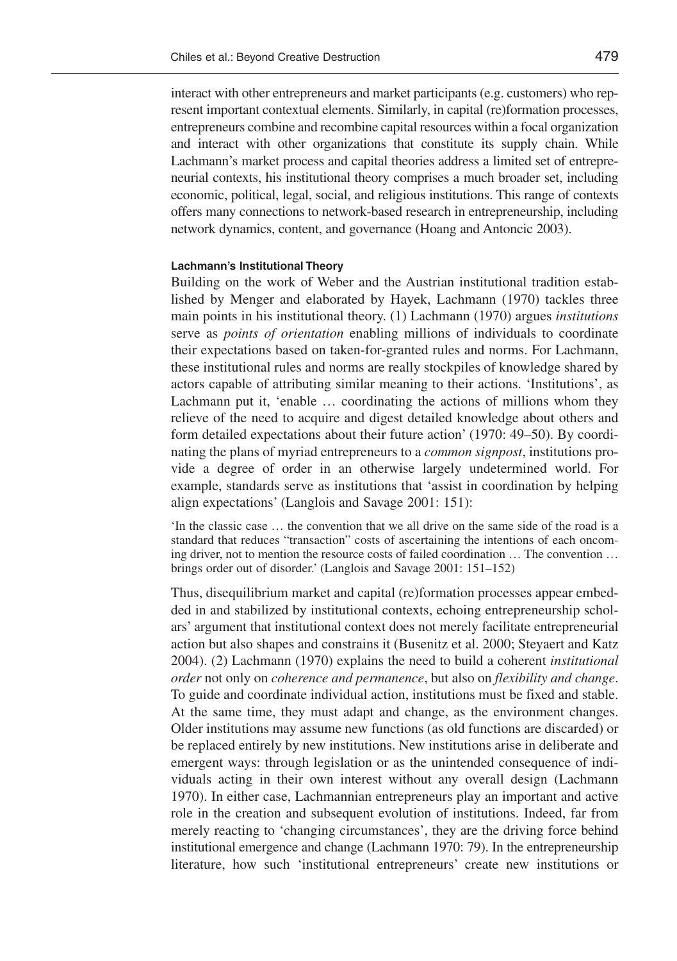interact with other entrepreneurs and market participants (e.g. customers) who represent important contextual elements. Similarly, in capital (re)formation processes, entrepreneurs combine and recombine capital resources within a focal organization and interact with other organizations that constitute its supply chain. While Lachmann's market process and capital theories address a limited set of entrepreneurial contexts, his institutional theory comprises a much broader set, including economic, political, legal, social, and religious institutions. This range of contexts offers many connections to network-based research in entrepreneurship, including network dynamics, content, and governance (Hoang and Antoncic 2003).

#### **Lachmann's Institutional Theory**

Building on the work of Weber and the Austrian institutional tradition established by Menger and elaborated by Hayek, Lachmann (1970) tackles three main points in his institutional theory. (1) Lachmann (1970) argues *institutions* serve as *points of orientation* enabling millions of individuals to coordinate their expectations based on taken-for-granted rules and norms. For Lachmann, these institutional rules and norms are really stockpiles of knowledge shared by actors capable of attributing similar meaning to their actions. 'Institutions', as Lachmann put it, 'enable … coordinating the actions of millions whom they relieve of the need to acquire and digest detailed knowledge about others and form detailed expectations about their future action' (1970: 49–50). By coordinating the plans of myriad entrepreneurs to a *common signpost*, institutions provide a degree of order in an otherwise largely undetermined world. For example, standards serve as institutions that 'assist in coordination by helping align expectations' (Langlois and Savage 2001: 151):

'In the classic case … the convention that we all drive on the same side of the road is a standard that reduces "transaction" costs of ascertaining the intentions of each oncoming driver, not to mention the resource costs of failed coordination … The convention … brings order out of disorder.' (Langlois and Savage 2001: 151–152)

Thus, disequilibrium market and capital (re)formation processes appear embedded in and stabilized by institutional contexts, echoing entrepreneurship scholars' argument that institutional context does not merely facilitate entrepreneurial action but also shapes and constrains it (Busenitz et al. 2000; Steyaert and Katz 2004). (2) Lachmann (1970) explains the need to build a coherent *institutional order* not only on *coherence and permanence*, but also on *flexibility and change*. To guide and coordinate individual action, institutions must be fixed and stable. At the same time, they must adapt and change, as the environment changes. Older institutions may assume new functions (as old functions are discarded) or be replaced entirely by new institutions. New institutions arise in deliberate and emergent ways: through legislation or as the unintended consequence of individuals acting in their own interest without any overall design (Lachmann 1970). In either case, Lachmannian entrepreneurs play an important and active role in the creation and subsequent evolution of institutions. Indeed, far from merely reacting to 'changing circumstances', they are the driving force behind institutional emergence and change (Lachmann 1970: 79). In the entrepreneurship literature, how such 'institutional entrepreneurs' create new institutions or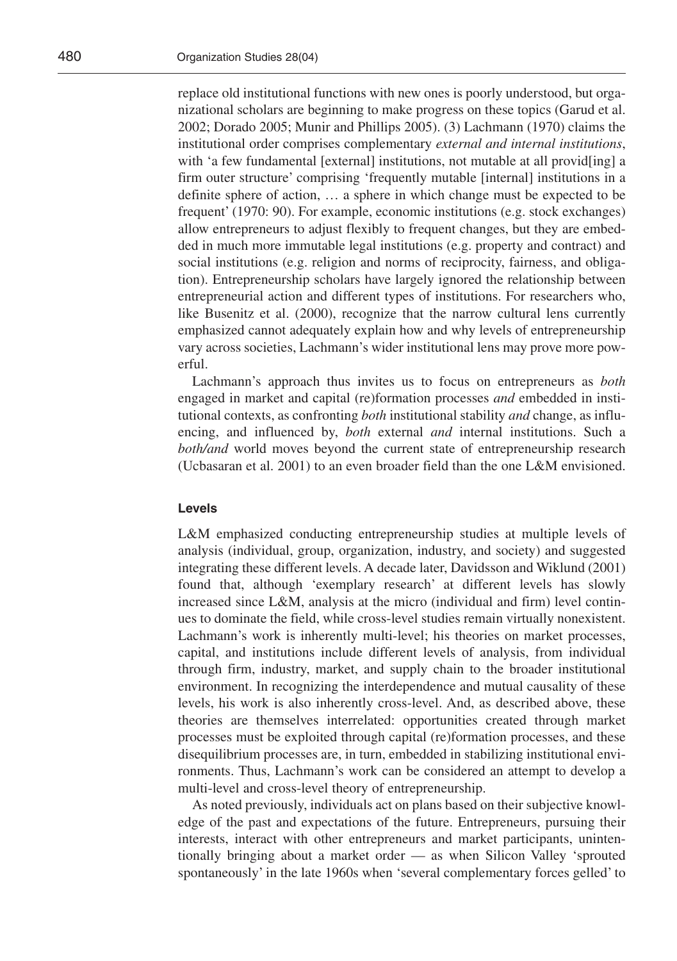replace old institutional functions with new ones is poorly understood, but organizational scholars are beginning to make progress on these topics (Garud et al. 2002; Dorado 2005; Munir and Phillips 2005). (3) Lachmann (1970) claims the institutional order comprises complementary *external and internal institutions*, with 'a few fundamental [external] institutions, not mutable at all provid[ing] a firm outer structure' comprising 'frequently mutable [internal] institutions in a definite sphere of action, … a sphere in which change must be expected to be frequent' (1970: 90). For example, economic institutions (e.g. stock exchanges) allow entrepreneurs to adjust flexibly to frequent changes, but they are embedded in much more immutable legal institutions (e.g. property and contract) and social institutions (e.g. religion and norms of reciprocity, fairness, and obligation). Entrepreneurship scholars have largely ignored the relationship between entrepreneurial action and different types of institutions. For researchers who, like Busenitz et al. (2000), recognize that the narrow cultural lens currently emphasized cannot adequately explain how and why levels of entrepreneurship vary across societies, Lachmann's wider institutional lens may prove more powerful.

Lachmann's approach thus invites us to focus on entrepreneurs as *both* engaged in market and capital (re)formation processes *and* embedded in institutional contexts, as confronting *both* institutional stability *and* change, as influencing, and influenced by, *both* external *and* internal institutions. Such a *both/and* world moves beyond the current state of entrepreneurship research (Ucbasaran et al. 2001) to an even broader field than the one L&M envisioned.

#### **Levels**

L&M emphasized conducting entrepreneurship studies at multiple levels of analysis (individual, group, organization, industry, and society) and suggested integrating these different levels. A decade later, Davidsson and Wiklund (2001) found that, although 'exemplary research' at different levels has slowly increased since L&M, analysis at the micro (individual and firm) level continues to dominate the field, while cross-level studies remain virtually nonexistent. Lachmann's work is inherently multi-level; his theories on market processes, capital, and institutions include different levels of analysis, from individual through firm, industry, market, and supply chain to the broader institutional environment. In recognizing the interdependence and mutual causality of these levels, his work is also inherently cross-level. And, as described above, these theories are themselves interrelated: opportunities created through market processes must be exploited through capital (re)formation processes, and these disequilibrium processes are, in turn, embedded in stabilizing institutional environments. Thus, Lachmann's work can be considered an attempt to develop a multi-level and cross-level theory of entrepreneurship.

As noted previously, individuals act on plans based on their subjective knowledge of the past and expectations of the future. Entrepreneurs, pursuing their interests, interact with other entrepreneurs and market participants, unintentionally bringing about a market order — as when Silicon Valley 'sprouted spontaneously' in the late 1960s when 'several complementary forces gelled' to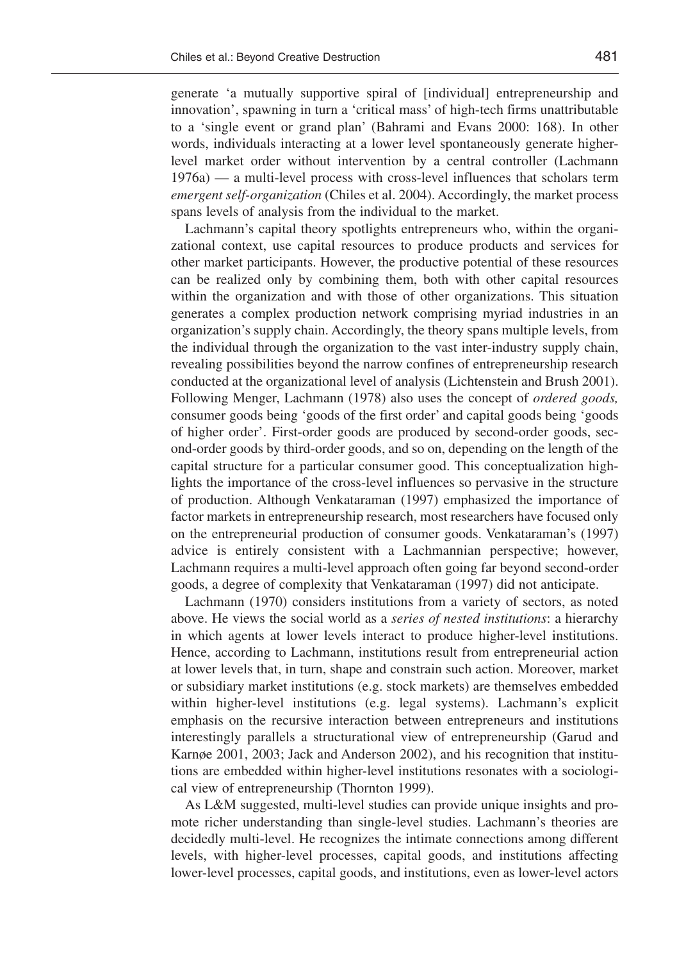generate 'a mutually supportive spiral of [individual] entrepreneurship and innovation', spawning in turn a 'critical mass' of high-tech firms unattributable to a 'single event or grand plan' (Bahrami and Evans 2000: 168). In other words, individuals interacting at a lower level spontaneously generate higherlevel market order without intervention by a central controller (Lachmann 1976a) — a multi-level process with cross-level influences that scholars term *emergent self-organization* (Chiles et al. 2004). Accordingly, the market process spans levels of analysis from the individual to the market.

Lachmann's capital theory spotlights entrepreneurs who, within the organizational context, use capital resources to produce products and services for other market participants. However, the productive potential of these resources can be realized only by combining them, both with other capital resources within the organization and with those of other organizations. This situation generates a complex production network comprising myriad industries in an organization's supply chain. Accordingly, the theory spans multiple levels, from the individual through the organization to the vast inter-industry supply chain, revealing possibilities beyond the narrow confines of entrepreneurship research conducted at the organizational level of analysis (Lichtenstein and Brush 2001). Following Menger, Lachmann (1978) also uses the concept of *ordered goods,* consumer goods being 'goods of the first order' and capital goods being 'goods of higher order'. First-order goods are produced by second-order goods, second-order goods by third-order goods, and so on, depending on the length of the capital structure for a particular consumer good. This conceptualization highlights the importance of the cross-level influences so pervasive in the structure of production. Although Venkataraman (1997) emphasized the importance of factor markets in entrepreneurship research, most researchers have focused only on the entrepreneurial production of consumer goods. Venkataraman's (1997) advice is entirely consistent with a Lachmannian perspective; however, Lachmann requires a multi-level approach often going far beyond second-order goods, a degree of complexity that Venkataraman (1997) did not anticipate.

Lachmann (1970) considers institutions from a variety of sectors, as noted above. He views the social world as a *series of nested institutions*: a hierarchy in which agents at lower levels interact to produce higher-level institutions. Hence, according to Lachmann, institutions result from entrepreneurial action at lower levels that, in turn, shape and constrain such action. Moreover, market or subsidiary market institutions (e.g. stock markets) are themselves embedded within higher-level institutions (e.g. legal systems). Lachmann's explicit emphasis on the recursive interaction between entrepreneurs and institutions interestingly parallels a structurational view of entrepreneurship (Garud and Karnøe 2001, 2003; Jack and Anderson 2002), and his recognition that institutions are embedded within higher-level institutions resonates with a sociological view of entrepreneurship (Thornton 1999).

As L&M suggested, multi-level studies can provide unique insights and promote richer understanding than single-level studies. Lachmann's theories are decidedly multi-level. He recognizes the intimate connections among different levels, with higher-level processes, capital goods, and institutions affecting lower-level processes, capital goods, and institutions, even as lower-level actors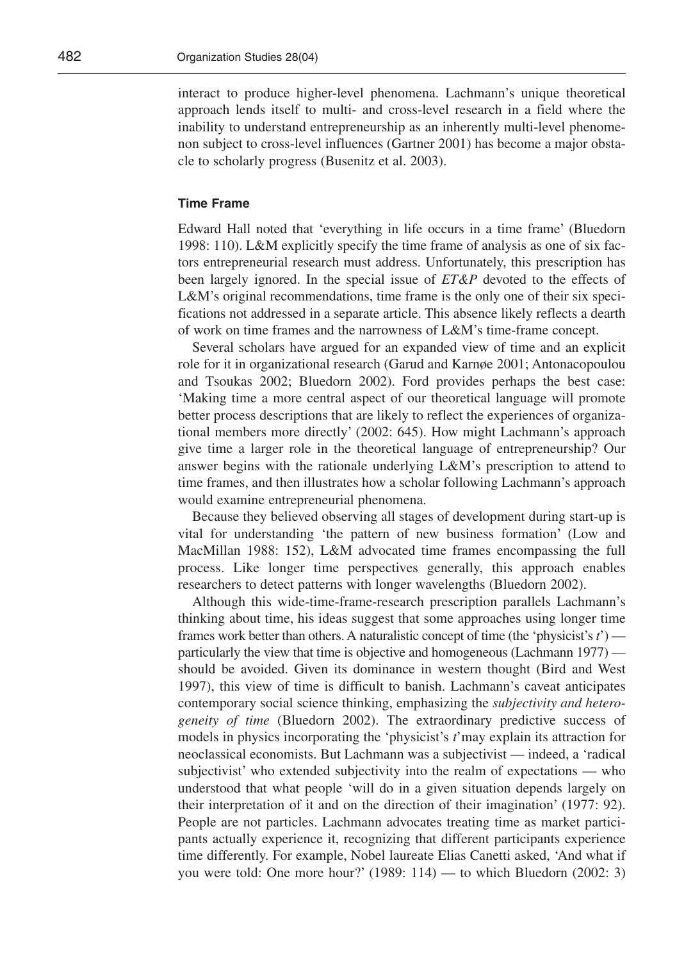interact to produce higher-level phenomena. Lachmann's unique theoretical approach lends itself to multi- and cross-level research in a field where the inability to understand entrepreneurship as an inherently multi-level phenomenon subject to cross-level influences (Gartner 2001) has become a major obstacle to scholarly progress (Busenitz et al. 2003).

#### **Time Frame**

Edward Hall noted that 'everything in life occurs in a time frame' (Bluedorn 1998: 110). L&M explicitly specify the time frame of analysis as one of six factors entrepreneurial research must address. Unfortunately, this prescription has been largely ignored. In the special issue of *ET&P* devoted to the effects of L&M's original recommendations, time frame is the only one of their six specifications not addressed in a separate article. This absence likely reflects a dearth of work on time frames and the narrowness of L&M's time-frame concept.

Several scholars have argued for an expanded view of time and an explicit role for it in organizational research (Garud and Karnøe 2001; Antonacopoulou and Tsoukas 2002; Bluedorn 2002). Ford provides perhaps the best case: 'Making time a more central aspect of our theoretical language will promote better process descriptions that are likely to reflect the experiences of organizational members more directly' (2002: 645). How might Lachmann's approach give time a larger role in the theoretical language of entrepreneurship? Our answer begins with the rationale underlying L&M's prescription to attend to time frames, and then illustrates how a scholar following Lachmann's approach would examine entrepreneurial phenomena.

Because they believed observing all stages of development during start-up is vital for understanding 'the pattern of new business formation' (Low and MacMillan 1988: 152), L&M advocated time frames encompassing the full process. Like longer time perspectives generally, this approach enables researchers to detect patterns with longer wavelengths (Bluedorn 2002).

Although this wide-time-frame-research prescription parallels Lachmann's thinking about time, his ideas suggest that some approaches using longer time frames work better than others. A naturalistic concept of time (the 'physicist's *t*') particularly the view that time is objective and homogeneous (Lachmann 1977) should be avoided. Given its dominance in western thought (Bird and West 1997), this view of time is difficult to banish. Lachmann's caveat anticipates contemporary social science thinking, emphasizing the *subjectivity and heterogeneity of time* (Bluedorn 2002). The extraordinary predictive success of models in physics incorporating the 'physicist's *t*'may explain its attraction for neoclassical economists. But Lachmann was a subjectivist — indeed, a 'radical subjectivist' who extended subjectivity into the realm of expectations — who understood that what people 'will do in a given situation depends largely on their interpretation of it and on the direction of their imagination' (1977: 92). People are not particles. Lachmann advocates treating time as market participants actually experience it, recognizing that different participants experience time differently. For example, Nobel laureate Elias Canetti asked, 'And what if you were told: One more hour?' (1989: 114) — to which Bluedorn (2002: 3)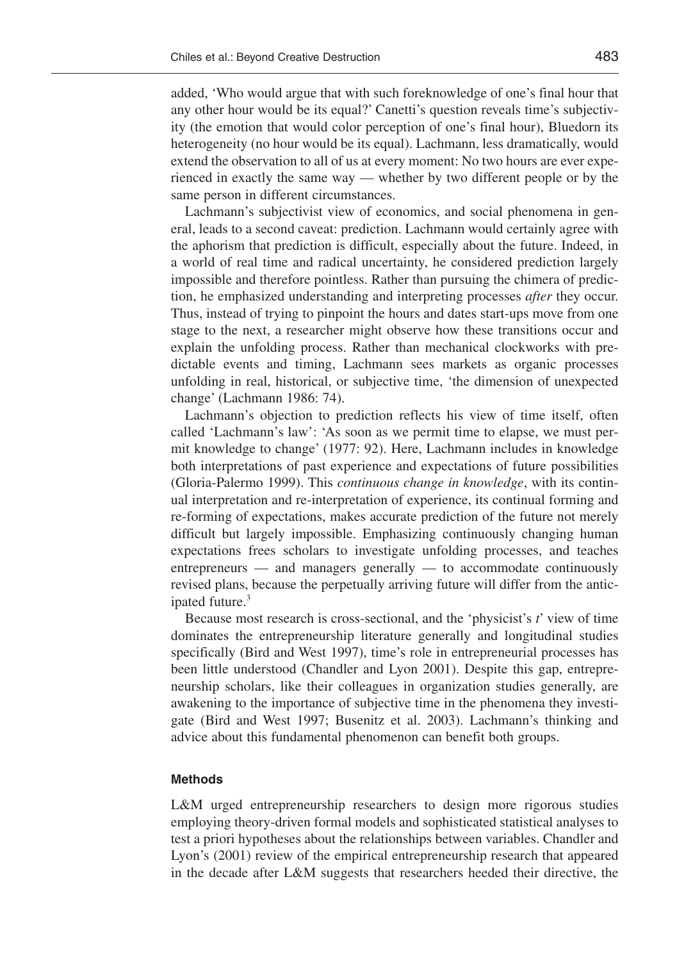added, 'Who would argue that with such foreknowledge of one's final hour that any other hour would be its equal?' Canetti's question reveals time's subjectivity (the emotion that would color perception of one's final hour), Bluedorn its heterogeneity (no hour would be its equal). Lachmann, less dramatically, would extend the observation to all of us at every moment: No two hours are ever experienced in exactly the same way — whether by two different people or by the same person in different circumstances.

Lachmann's subjectivist view of economics, and social phenomena in general, leads to a second caveat: prediction. Lachmann would certainly agree with the aphorism that prediction is difficult, especially about the future. Indeed, in a world of real time and radical uncertainty, he considered prediction largely impossible and therefore pointless. Rather than pursuing the chimera of prediction, he emphasized understanding and interpreting processes *after* they occur. Thus, instead of trying to pinpoint the hours and dates start-ups move from one stage to the next, a researcher might observe how these transitions occur and explain the unfolding process. Rather than mechanical clockworks with predictable events and timing, Lachmann sees markets as organic processes unfolding in real, historical, or subjective time, 'the dimension of unexpected change' (Lachmann 1986: 74).

Lachmann's objection to prediction reflects his view of time itself, often called 'Lachmann's law': 'As soon as we permit time to elapse, we must permit knowledge to change' (1977: 92). Here, Lachmann includes in knowledge both interpretations of past experience and expectations of future possibilities (Gloria-Palermo 1999). This *continuous change in knowledge*, with its continual interpretation and re-interpretation of experience, its continual forming and re-forming of expectations, makes accurate prediction of the future not merely difficult but largely impossible. Emphasizing continuously changing human expectations frees scholars to investigate unfolding processes, and teaches entrepreneurs — and managers generally — to accommodate continuously revised plans, because the perpetually arriving future will differ from the anticipated future.<sup>3</sup>

Because most research is cross-sectional, and the 'physicist's *t*' view of time dominates the entrepreneurship literature generally and longitudinal studies specifically (Bird and West 1997), time's role in entrepreneurial processes has been little understood (Chandler and Lyon 2001). Despite this gap, entrepreneurship scholars, like their colleagues in organization studies generally, are awakening to the importance of subjective time in the phenomena they investigate (Bird and West 1997; Busenitz et al. 2003). Lachmann's thinking and advice about this fundamental phenomenon can benefit both groups.

#### **Methods**

L&M urged entrepreneurship researchers to design more rigorous studies employing theory-driven formal models and sophisticated statistical analyses to test a priori hypotheses about the relationships between variables. Chandler and Lyon's (2001) review of the empirical entrepreneurship research that appeared in the decade after L&M suggests that researchers heeded their directive, the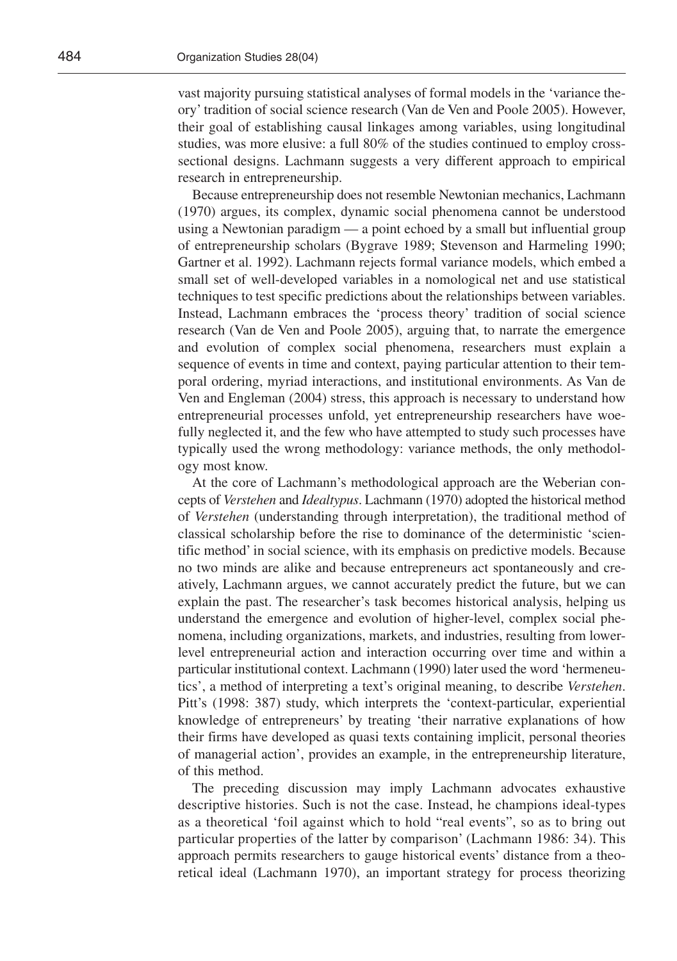vast majority pursuing statistical analyses of formal models in the 'variance theory' tradition of social science research (Van de Ven and Poole 2005). However, their goal of establishing causal linkages among variables, using longitudinal studies, was more elusive: a full 80% of the studies continued to employ crosssectional designs. Lachmann suggests a very different approach to empirical research in entrepreneurship.

Because entrepreneurship does not resemble Newtonian mechanics, Lachmann (1970) argues, its complex, dynamic social phenomena cannot be understood using a Newtonian paradigm — a point echoed by a small but influential group of entrepreneurship scholars (Bygrave 1989; Stevenson and Harmeling 1990; Gartner et al. 1992). Lachmann rejects formal variance models, which embed a small set of well-developed variables in a nomological net and use statistical techniques to test specific predictions about the relationships between variables. Instead, Lachmann embraces the 'process theory' tradition of social science research (Van de Ven and Poole 2005), arguing that, to narrate the emergence and evolution of complex social phenomena, researchers must explain a sequence of events in time and context, paying particular attention to their temporal ordering, myriad interactions, and institutional environments. As Van de Ven and Engleman (2004) stress, this approach is necessary to understand how entrepreneurial processes unfold, yet entrepreneurship researchers have woefully neglected it, and the few who have attempted to study such processes have typically used the wrong methodology: variance methods, the only methodology most know.

At the core of Lachmann's methodological approach are the Weberian concepts of *Verstehen* and *Idealtypus*. Lachmann (1970) adopted the historical method of *Verstehen* (understanding through interpretation), the traditional method of classical scholarship before the rise to dominance of the deterministic 'scientific method' in social science, with its emphasis on predictive models. Because no two minds are alike and because entrepreneurs act spontaneously and creatively, Lachmann argues, we cannot accurately predict the future, but we can explain the past. The researcher's task becomes historical analysis, helping us understand the emergence and evolution of higher-level, complex social phenomena, including organizations, markets, and industries, resulting from lowerlevel entrepreneurial action and interaction occurring over time and within a particular institutional context. Lachmann (1990) later used the word 'hermeneutics', a method of interpreting a text's original meaning, to describe *Verstehen*. Pitt's (1998: 387) study, which interprets the 'context-particular, experiential knowledge of entrepreneurs' by treating 'their narrative explanations of how their firms have developed as quasi texts containing implicit, personal theories of managerial action', provides an example, in the entrepreneurship literature, of this method.

The preceding discussion may imply Lachmann advocates exhaustive descriptive histories. Such is not the case. Instead, he champions ideal-types as a theoretical 'foil against which to hold "real events", so as to bring out particular properties of the latter by comparison' (Lachmann 1986: 34). This approach permits researchers to gauge historical events' distance from a theoretical ideal (Lachmann 1970), an important strategy for process theorizing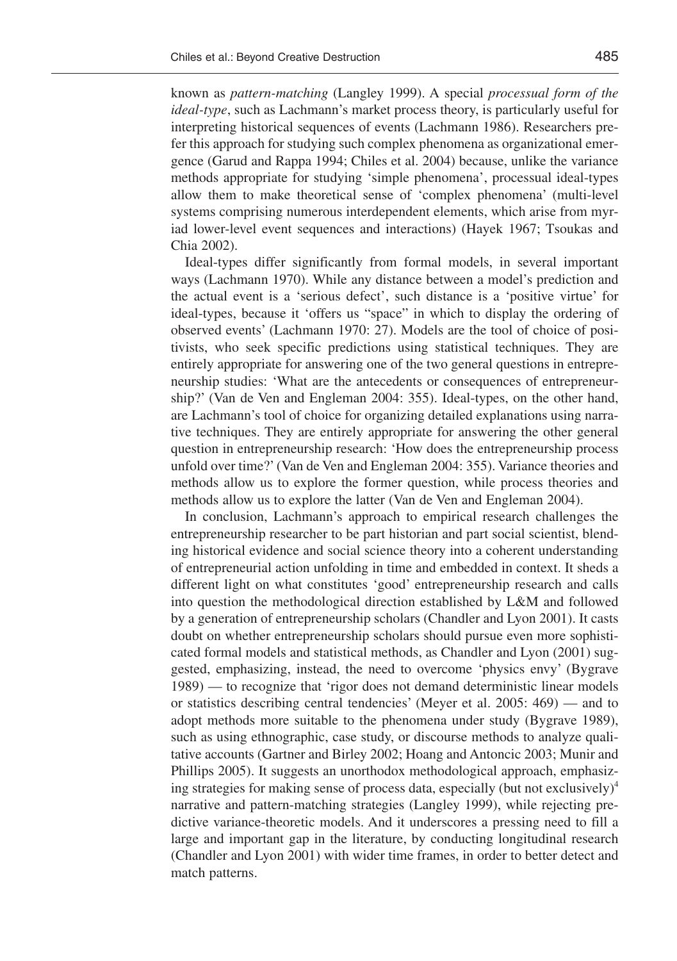known as *pattern-matching* (Langley 1999). A special *processual form of the ideal-type*, such as Lachmann's market process theory, is particularly useful for interpreting historical sequences of events (Lachmann 1986). Researchers prefer this approach for studying such complex phenomena as organizational emergence (Garud and Rappa 1994; Chiles et al. 2004) because, unlike the variance methods appropriate for studying 'simple phenomena', processual ideal-types allow them to make theoretical sense of 'complex phenomena' (multi-level systems comprising numerous interdependent elements, which arise from myriad lower-level event sequences and interactions) (Hayek 1967; Tsoukas and Chia 2002).

Ideal-types differ significantly from formal models, in several important ways (Lachmann 1970). While any distance between a model's prediction and the actual event is a 'serious defect', such distance is a 'positive virtue' for ideal-types, because it 'offers us "space" in which to display the ordering of observed events' (Lachmann 1970: 27). Models are the tool of choice of positivists, who seek specific predictions using statistical techniques. They are entirely appropriate for answering one of the two general questions in entrepreneurship studies: 'What are the antecedents or consequences of entrepreneurship?' (Van de Ven and Engleman 2004: 355). Ideal-types, on the other hand, are Lachmann's tool of choice for organizing detailed explanations using narrative techniques. They are entirely appropriate for answering the other general question in entrepreneurship research: 'How does the entrepreneurship process unfold over time?' (Van de Ven and Engleman 2004: 355). Variance theories and methods allow us to explore the former question, while process theories and methods allow us to explore the latter (Van de Ven and Engleman 2004).

In conclusion, Lachmann's approach to empirical research challenges the entrepreneurship researcher to be part historian and part social scientist, blending historical evidence and social science theory into a coherent understanding of entrepreneurial action unfolding in time and embedded in context. It sheds a different light on what constitutes 'good' entrepreneurship research and calls into question the methodological direction established by L&M and followed by a generation of entrepreneurship scholars (Chandler and Lyon 2001). It casts doubt on whether entrepreneurship scholars should pursue even more sophisticated formal models and statistical methods, as Chandler and Lyon (2001) suggested, emphasizing, instead, the need to overcome 'physics envy' (Bygrave 1989) — to recognize that 'rigor does not demand deterministic linear models or statistics describing central tendencies' (Meyer et al. 2005: 469) — and to adopt methods more suitable to the phenomena under study (Bygrave 1989), such as using ethnographic, case study, or discourse methods to analyze qualitative accounts (Gartner and Birley 2002; Hoang and Antoncic 2003; Munir and Phillips 2005). It suggests an unorthodox methodological approach, emphasizing strategies for making sense of process data, especially (but not exclusively) $4$ narrative and pattern-matching strategies (Langley 1999), while rejecting predictive variance-theoretic models. And it underscores a pressing need to fill a large and important gap in the literature, by conducting longitudinal research (Chandler and Lyon 2001) with wider time frames, in order to better detect and match patterns.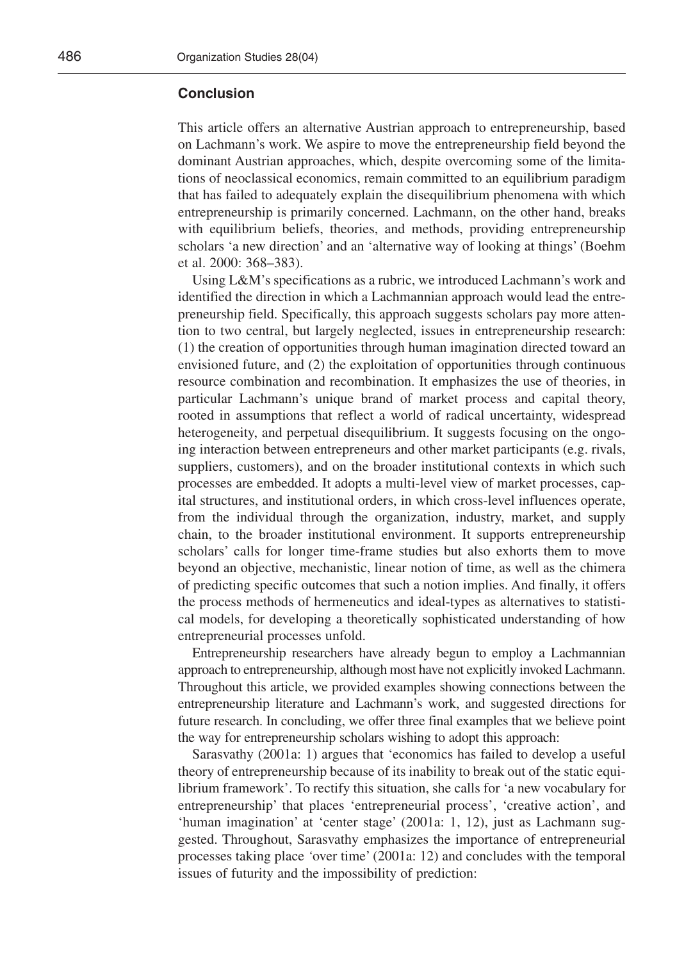## **Conclusion**

This article offers an alternative Austrian approach to entrepreneurship, based on Lachmann's work. We aspire to move the entrepreneurship field beyond the dominant Austrian approaches, which, despite overcoming some of the limitations of neoclassical economics, remain committed to an equilibrium paradigm that has failed to adequately explain the disequilibrium phenomena with which entrepreneurship is primarily concerned. Lachmann, on the other hand, breaks with equilibrium beliefs, theories, and methods, providing entrepreneurship scholars 'a new direction' and an 'alternative way of looking at things' (Boehm et al. 2000: 368–383).

Using L&M's specifications as a rubric, we introduced Lachmann's work and identified the direction in which a Lachmannian approach would lead the entrepreneurship field. Specifically, this approach suggests scholars pay more attention to two central, but largely neglected, issues in entrepreneurship research: (1) the creation of opportunities through human imagination directed toward an envisioned future, and (2) the exploitation of opportunities through continuous resource combination and recombination. It emphasizes the use of theories, in particular Lachmann's unique brand of market process and capital theory, rooted in assumptions that reflect a world of radical uncertainty, widespread heterogeneity, and perpetual disequilibrium. It suggests focusing on the ongoing interaction between entrepreneurs and other market participants (e.g. rivals, suppliers, customers), and on the broader institutional contexts in which such processes are embedded. It adopts a multi-level view of market processes, capital structures, and institutional orders, in which cross-level influences operate, from the individual through the organization, industry, market, and supply chain, to the broader institutional environment. It supports entrepreneurship scholars' calls for longer time-frame studies but also exhorts them to move beyond an objective, mechanistic, linear notion of time, as well as the chimera of predicting specific outcomes that such a notion implies. And finally, it offers the process methods of hermeneutics and ideal-types as alternatives to statistical models, for developing a theoretically sophisticated understanding of how entrepreneurial processes unfold.

Entrepreneurship researchers have already begun to employ a Lachmannian approach to entrepreneurship, although most have not explicitly invoked Lachmann. Throughout this article, we provided examples showing connections between the entrepreneurship literature and Lachmann's work, and suggested directions for future research. In concluding, we offer three final examples that we believe point the way for entrepreneurship scholars wishing to adopt this approach:

Sarasvathy (2001a: 1) argues that 'economics has failed to develop a useful theory of entrepreneurship because of its inability to break out of the static equilibrium framework'. To rectify this situation, she calls for 'a new vocabulary for entrepreneurship' that places 'entrepreneurial process', 'creative action', and 'human imagination' at 'center stage' (2001a: 1, 12), just as Lachmann suggested. Throughout, Sarasvathy emphasizes the importance of entrepreneurial processes taking place *'*over time' (2001a: 12) and concludes with the temporal issues of futurity and the impossibility of prediction: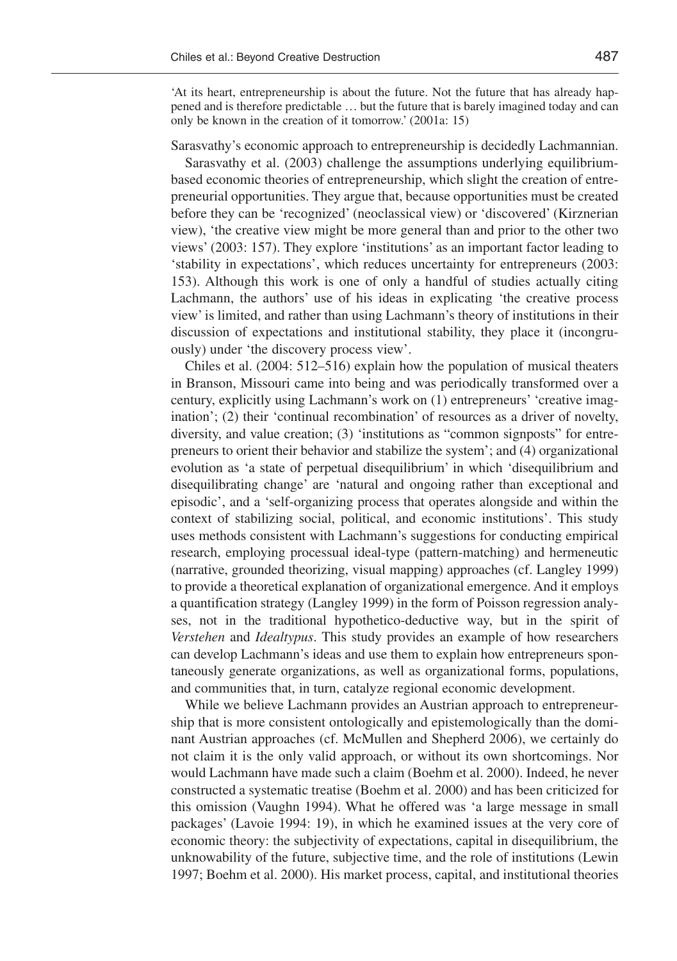'At its heart, entrepreneurship is about the future. Not the future that has already happened and is therefore predictable … but the future that is barely imagined today and can only be known in the creation of it tomorrow.' (2001a: 15)

Sarasvathy's economic approach to entrepreneurship is decidedly Lachmannian.

Sarasvathy et al. (2003) challenge the assumptions underlying equilibriumbased economic theories of entrepreneurship, which slight the creation of entrepreneurial opportunities. They argue that, because opportunities must be created before they can be 'recognized' (neoclassical view) or 'discovered' (Kirznerian view), 'the creative view might be more general than and prior to the other two views' (2003: 157). They explore 'institutions' as an important factor leading to 'stability in expectations', which reduces uncertainty for entrepreneurs (2003: 153). Although this work is one of only a handful of studies actually citing Lachmann, the authors' use of his ideas in explicating 'the creative process view' is limited, and rather than using Lachmann's theory of institutions in their discussion of expectations and institutional stability, they place it (incongruously) under 'the discovery process view'.

Chiles et al. (2004: 512–516) explain how the population of musical theaters in Branson, Missouri came into being and was periodically transformed over a century, explicitly using Lachmann's work on (1) entrepreneurs' 'creative imagination'; (2) their 'continual recombination' of resources as a driver of novelty, diversity, and value creation; (3) 'institutions as "common signposts" for entrepreneurs to orient their behavior and stabilize the system'; and (4) organizational evolution as 'a state of perpetual disequilibrium' in which 'disequilibrium and disequilibrating change' are 'natural and ongoing rather than exceptional and episodic', and a 'self-organizing process that operates alongside and within the context of stabilizing social, political, and economic institutions'. This study uses methods consistent with Lachmann's suggestions for conducting empirical research, employing processual ideal-type (pattern-matching) and hermeneutic (narrative, grounded theorizing, visual mapping) approaches (cf. Langley 1999) to provide a theoretical explanation of organizational emergence. And it employs a quantification strategy (Langley 1999) in the form of Poisson regression analyses, not in the traditional hypothetico-deductive way, but in the spirit of *Verstehen* and *Idealtypus*. This study provides an example of how researchers can develop Lachmann's ideas and use them to explain how entrepreneurs spontaneously generate organizations, as well as organizational forms, populations, and communities that, in turn, catalyze regional economic development.

While we believe Lachmann provides an Austrian approach to entrepreneurship that is more consistent ontologically and epistemologically than the dominant Austrian approaches (cf. McMullen and Shepherd 2006), we certainly do not claim it is the only valid approach, or without its own shortcomings. Nor would Lachmann have made such a claim (Boehm et al. 2000). Indeed, he never constructed a systematic treatise (Boehm et al. 2000) and has been criticized for this omission (Vaughn 1994). What he offered was 'a large message in small packages' (Lavoie 1994: 19), in which he examined issues at the very core of economic theory: the subjectivity of expectations, capital in disequilibrium, the unknowability of the future, subjective time, and the role of institutions (Lewin 1997; Boehm et al. 2000). His market process, capital, and institutional theories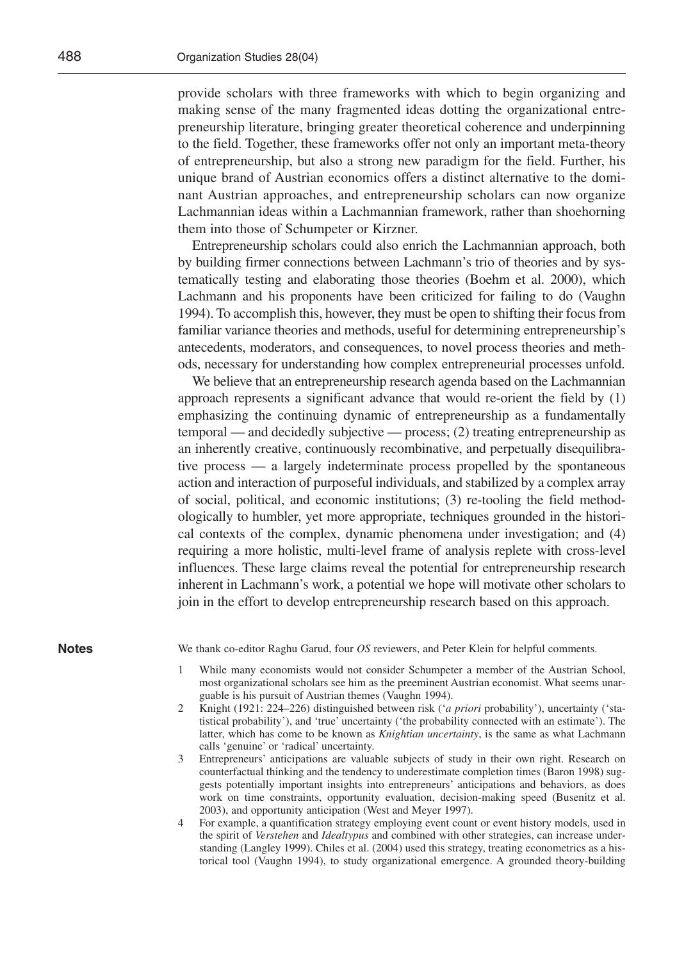provide scholars with three frameworks with which to begin organizing and making sense of the many fragmented ideas dotting the organizational entrepreneurship literature, bringing greater theoretical coherence and underpinning to the field. Together, these frameworks offer not only an important meta-theory of entrepreneurship, but also a strong new paradigm for the field. Further, his unique brand of Austrian economics offers a distinct alternative to the dominant Austrian approaches, and entrepreneurship scholars can now organize Lachmannian ideas within a Lachmannian framework, rather than shoehorning them into those of Schumpeter or Kirzner.

Entrepreneurship scholars could also enrich the Lachmannian approach, both by building firmer connections between Lachmann's trio of theories and by systematically testing and elaborating those theories (Boehm et al. 2000), which Lachmann and his proponents have been criticized for failing to do (Vaughn 1994). To accomplish this, however, they must be open to shifting their focus from familiar variance theories and methods, useful for determining entrepreneurship's antecedents, moderators, and consequences, to novel process theories and methods, necessary for understanding how complex entrepreneurial processes unfold.

We believe that an entrepreneurship research agenda based on the Lachmannian approach represents a significant advance that would re-orient the field by (1) emphasizing the continuing dynamic of entrepreneurship as a fundamentally temporal — and decidedly subjective — process; (2) treating entrepreneurship as an inherently creative, continuously recombinative, and perpetually disequilibrative process — a largely indeterminate process propelled by the spontaneous action and interaction of purposeful individuals, and stabilized by a complex array of social, political, and economic institutions; (3) re-tooling the field methodologically to humbler, yet more appropriate, techniques grounded in the historical contexts of the complex, dynamic phenomena under investigation; and (4) requiring a more holistic, multi-level frame of analysis replete with cross-level influences. These large claims reveal the potential for entrepreneurship research inherent in Lachmann's work, a potential we hope will motivate other scholars to join in the effort to develop entrepreneurship research based on this approach.

#### **Notes**

We thank co-editor Raghu Garud, four *OS* reviewers, and Peter Klein for helpful comments.

- 1 While many economists would not consider Schumpeter a member of the Austrian School, most organizational scholars see him as the preeminent Austrian economist. What seems unarguable is his pursuit of Austrian themes (Vaughn 1994).
- 2 Knight (1921: 224–226) distinguished between risk ('*a priori* probability'), uncertainty ('statistical probability'), and 'true' uncertainty ('the probability connected with an estimate'). The latter, which has come to be known as *Knightian uncertainty*, is the same as what Lachmann calls 'genuine' or 'radical' uncertainty.
- 3 Entrepreneurs' anticipations are valuable subjects of study in their own right. Research on counterfactual thinking and the tendency to underestimate completion times (Baron 1998) suggests potentially important insights into entrepreneurs' anticipations and behaviors, as does work on time constraints, opportunity evaluation, decision-making speed (Busenitz et al. 2003), and opportunity anticipation (West and Meyer 1997).
- 4 For example, a quantification strategy employing event count or event history models, used in the spirit of *Verstehen* and *Idealtypus* and combined with other strategies, can increase understanding (Langley 1999). Chiles et al. (2004) used this strategy, treating econometrics as a historical tool (Vaughn 1994), to study organizational emergence. A grounded theory-building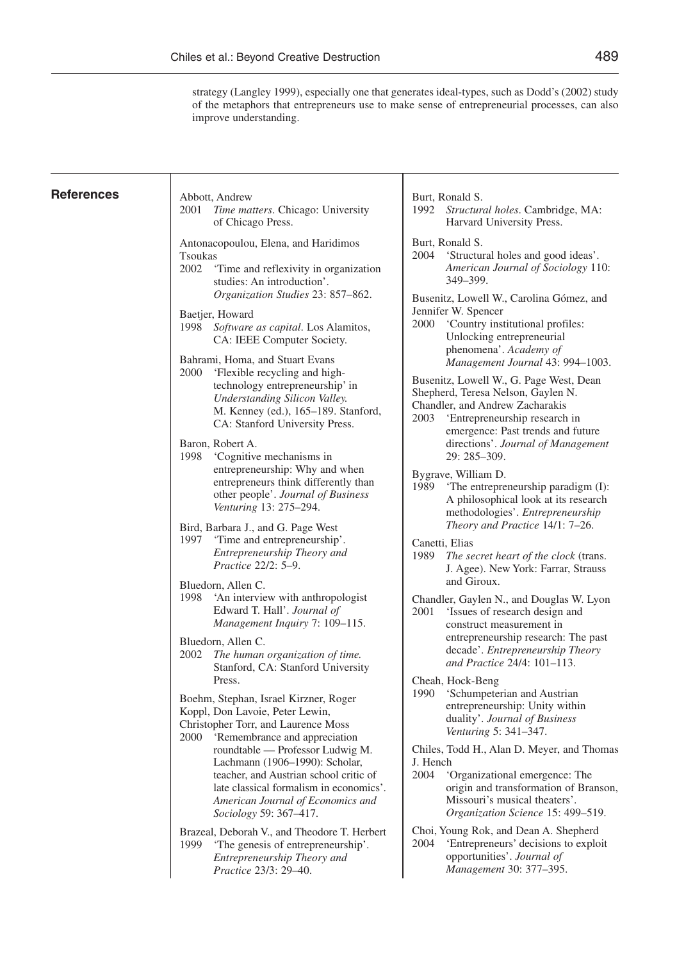strategy (Langley 1999), especially one that generates ideal-types, such as Dodd's (2002) study of the metaphors that entrepreneurs use to make sense of entrepreneurial processes, can also improve understanding.

| <b>References</b> | Abbott, Andrew                                                                                                                                                                                                         | Burt, Ronald S.                                                                                                                                                                                                                      |
|-------------------|------------------------------------------------------------------------------------------------------------------------------------------------------------------------------------------------------------------------|--------------------------------------------------------------------------------------------------------------------------------------------------------------------------------------------------------------------------------------|
|                   | Time matters. Chicago: University<br>2001<br>of Chicago Press.                                                                                                                                                         | 1992 Structural holes. Cambridge, MA:<br>Harvard University Press.                                                                                                                                                                   |
|                   | Antonacopoulou, Elena, and Haridimos<br>Tsoukas<br>2002<br>Time and reflexivity in organization<br>studies: An introduction'.<br>Organization Studies 23: 857-862.                                                     | Burt, Ronald S.<br>2004<br>'Structural holes and good ideas'.<br>American Journal of Sociology 110:<br>349-399.<br>Busenitz, Lowell W., Carolina Gómez, and                                                                          |
|                   | Baetjer, Howard<br>1998 Software as capital. Los Alamitos,<br>CA: IEEE Computer Society.<br>Bahrami, Homa, and Stuart Evans                                                                                            | Jennifer W. Spencer<br>2000<br>'Country institutional profiles:<br>Unlocking entrepreneurial<br>phenomena'. Academy of<br>Management Journal 43: 994-1003.                                                                           |
|                   | 2000<br>'Flexible recycling and high-<br>technology entrepreneurship' in<br>Understanding Silicon Valley.<br>M. Kenney (ed.), 165–189. Stanford,<br>CA: Stanford University Press.<br>Baron, Robert A.                 | Busenitz, Lowell W., G. Page West, Dean<br>Shepherd, Teresa Nelson, Gaylen N.<br>Chandler, and Andrew Zacharakis<br>'Entrepreneurship research in<br>2003<br>emergence: Past trends and future<br>directions'. Journal of Management |
|                   | 1998<br>'Cognitive mechanisms in<br>entrepreneurship: Why and when<br>entrepreneurs think differently than<br>other people'. Journal of Business<br>Venturing 13: 275-294.                                             | 29: 285-309.<br>Bygrave, William D.<br>1989<br>The entrepreneurship paradigm (I):<br>A philosophical look at its research<br>methodologies'. Entrepreneurship                                                                        |
|                   | Bird, Barbara J., and G. Page West<br>1997<br>'Time and entrepreneurship'.<br>Entrepreneurship Theory and<br>Practice 22/2: 5-9.                                                                                       | Theory and Practice 14/1: 7-26.<br>Canetti, Elias<br>1989<br>The secret heart of the clock (trans.<br>J. Agee). New York: Farrar, Strauss<br>and Giroux.                                                                             |
|                   | Bluedorn, Allen C.<br>1998 'An interview with anthropologist<br>Edward T. Hall'. Journal of<br>Management Inquiry 7: 109-115.                                                                                          | Chandler, Gaylen N., and Douglas W. Lyon<br>'Issues of research design and<br>2001<br>construct measurement in                                                                                                                       |
|                   | Bluedorn, Allen C.<br>2002 The human organization of time.<br>Stanford, CA: Stanford University<br>Press.                                                                                                              | entrepreneurship research: The past<br>decade'. Entrepreneurship Theory<br>and Practice 24/4: 101-113.<br>Cheah, Hock-Beng                                                                                                           |
|                   | Boehm, Stephan, Israel Kirzner, Roger<br>Koppl, Don Lavoie, Peter Lewin,<br>Christopher Torr, and Laurence Moss<br>2000<br>'Remembrance and appreciation                                                               | 1990<br>'Schumpeterian and Austrian<br>entrepreneurship: Unity within<br>duality'. Journal of Business<br>Venturing 5: 341-347.                                                                                                      |
|                   | roundtable — Professor Ludwig M.<br>Lachmann (1906-1990): Scholar,<br>teacher, and Austrian school critic of<br>late classical formalism in economics'.<br>American Journal of Economics and<br>Sociology 59: 367-417. | Chiles, Todd H., Alan D. Meyer, and Thomas<br>J. Hench<br>2004<br>'Organizational emergence: The<br>origin and transformation of Branson,<br>Missouri's musical theaters'.<br>Organization Science 15: 499-519.                      |
|                   | Brazeal, Deborah V., and Theodore T. Herbert<br>'The genesis of entrepreneurship'.<br>1999<br>Entrepreneurship Theory and<br>Practice 23/3: 29-40.                                                                     | Choi, Young Rok, and Dean A. Shepherd<br>2004<br>'Entrepreneurs' decisions to exploit<br>opportunities'. Journal of<br>Management 30: 377-395.                                                                                       |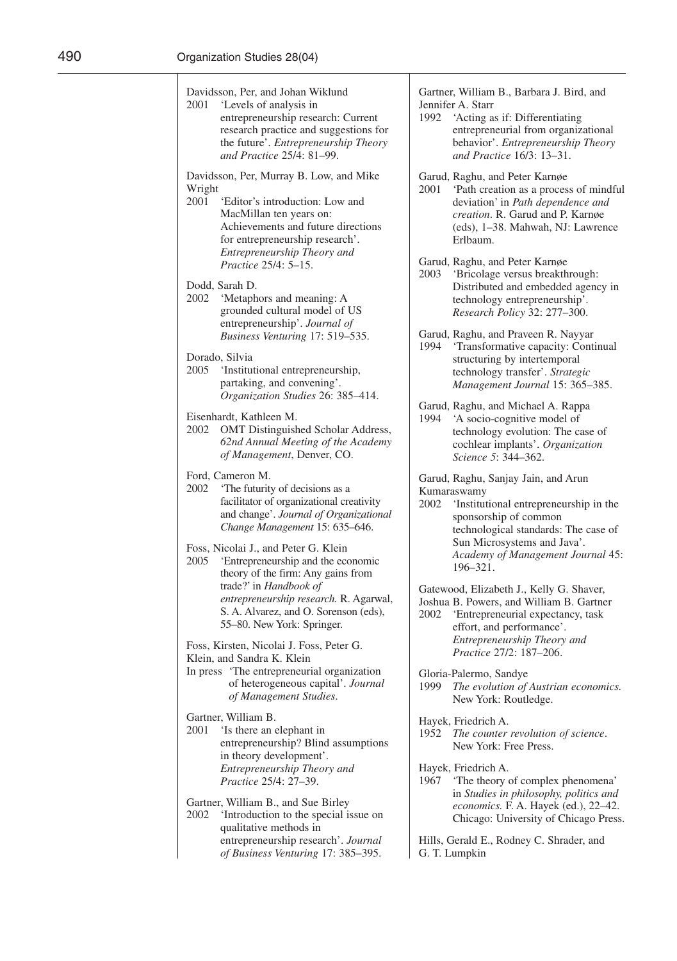$\overline{\phantom{a}}$ 

| Davidsson, Per, and Johan Wiklund<br>2001<br>'Levels of analysis in<br>entrepreneurship research: Current<br>research practice and suggestions for<br>the future'. Entrepreneurship Theory<br>and Practice 25/4: 81-99.                                 | Gartner, William B., Barbara J. Bird, and<br>Jennifer A. Starr<br>1992<br>'Acting as if: Differentiating<br>entrepreneurial from organizational<br>behavior'. Entrepreneurship Theory<br>and Practice 16/3: 13-31.                           |
|---------------------------------------------------------------------------------------------------------------------------------------------------------------------------------------------------------------------------------------------------------|----------------------------------------------------------------------------------------------------------------------------------------------------------------------------------------------------------------------------------------------|
| Davidsson, Per, Murray B. Low, and Mike<br>Wright<br>2001<br>'Editor's introduction: Low and<br>MacMillan ten years on:<br>Achievements and future directions<br>for entrepreneurship research'.<br>Entrepreneurship Theory and<br>Practice 25/4: 5-15. | Garud, Raghu, and Peter Karnøe<br>2001<br>'Path creation as a process of mindful<br>deviation' in Path dependence and<br>creation. R. Garud and P. Karnge<br>(eds), 1–38. Mahwah, NJ: Lawrence<br>Erlbaum.<br>Garud, Raghu, and Peter Karnøe |
| Dodd, Sarah D.<br>'Metaphors and meaning: A<br>2002<br>grounded cultural model of US<br>entrepreneurship'. Journal of                                                                                                                                   | 2003<br>'Bricolage versus breakthrough:<br>Distributed and embedded agency in<br>technology entrepreneurship'.<br>Research Policy 32: 277-300.                                                                                               |
| Business Venturing 17: 519-535.<br>Dorado, Silvia<br>2005<br>'Institutional entrepreneurship,<br>partaking, and convening'.<br>Organization Studies 26: 385-414.                                                                                        | Garud, Raghu, and Praveen R. Nayyar<br>'Transformative capacity: Continual<br>1994<br>structuring by intertemporal<br>technology transfer'. Strategic<br>Management Journal 15: 365-385.                                                     |
| Eisenhardt, Kathleen M.<br>2002 OMT Distinguished Scholar Address,<br>62nd Annual Meeting of the Academy<br>of Management, Denver, CO.                                                                                                                  | Garud, Raghu, and Michael A. Rappa<br>1994<br>'A socio-cognitive model of<br>technology evolution: The case of<br>cochlear implants'. Organization<br>Science 5: 344-362.                                                                    |
| Ford, Cameron M.<br>2002<br>'The futurity of decisions as a<br>facilitator of organizational creativity<br>and change'. Journal of Organizational<br>Change Management 15: 635-646.                                                                     | Garud, Raghu, Sanjay Jain, and Arun<br>Kumaraswamy<br>2002<br>'Institutional entrepreneurship in the<br>sponsorship of common<br>technological standards: The case of                                                                        |
| Foss, Nicolai J., and Peter G. Klein<br>2005<br>'Entrepreneurship and the economic<br>theory of the firm: Any gains from<br>trade?' in Handbook of<br>entrepreneurship research. R. Agarwal,<br>S. A. Alvarez, and O. Sorenson (eds),                   | Sun Microsystems and Java'.<br>Academy of Management Journal 45:<br>$196 - 321.$<br>Gatewood, Elizabeth J., Kelly G. Shaver,<br>Joshua B. Powers, and William B. Gartner<br>2002<br>'Entrepreneurial expectancy, task                        |
| 55-80. New York: Springer.<br>Foss, Kirsten, Nicolai J. Foss, Peter G.<br>Klein, and Sandra K. Klein<br>In press 'The entrepreneurial organization                                                                                                      | effort, and performance'.<br>Entrepreneurship Theory and<br>Practice 27/2: 187-206.<br>Gloria-Palermo, Sandye                                                                                                                                |
| of heterogeneous capital'. Journal<br>of Management Studies.                                                                                                                                                                                            | The evolution of Austrian economics.<br>1999<br>New York: Routledge.                                                                                                                                                                         |
| Gartner, William B.<br>2001<br>Is there an elephant in<br>entrepreneurship? Blind assumptions<br>in theory development'.<br>Entrepreneurship Theory and                                                                                                 | Hayek, Friedrich A.<br>1952<br>The counter revolution of science.<br>New York: Free Press.<br>Hayek, Friedrich A.                                                                                                                            |
| Practice 25/4: 27-39.<br>Gartner, William B., and Sue Birley<br>2002<br>'Introduction to the special issue on<br>qualitative methods in                                                                                                                 | 'The theory of complex phenomena'<br>1967<br>in Studies in philosophy, politics and<br>economics. F. A. Hayek (ed.), 22-42.<br>Chicago: University of Chicago Press.                                                                         |
| entrepreneurship research'. Journal<br>of Business Venturing 17: 385-395.                                                                                                                                                                               | Hills, Gerald E., Rodney C. Shrader, and<br>G. T. Lumpkin                                                                                                                                                                                    |

 $\overline{\phantom{a}}$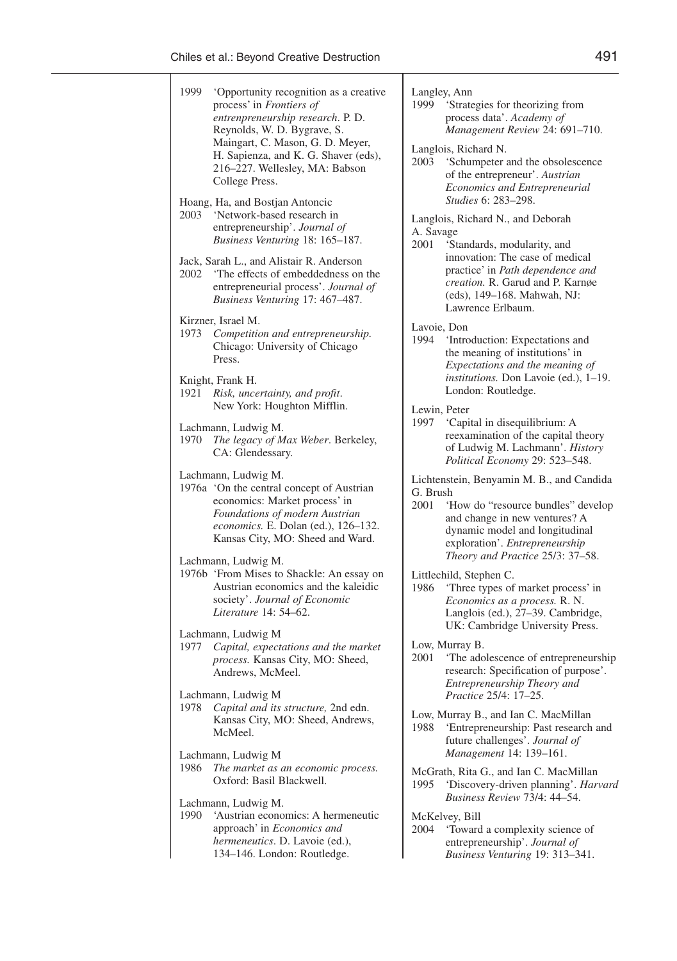| 1999<br>'Opportunity recognition as a creative<br>process' in Frontiers of<br>entrenpreneurship research. P. D.<br>Reynolds, W. D. Bygrave, S.<br>Maingart, C. Mason, G. D. Meyer,<br>H. Sapienza, and K. G. Shaver (eds),<br>216-227. Wellesley, MA: Babson<br>College Press.                                 | Langley, Ann<br>1999<br>'Strategies for theorizing from<br>process data'. Academy of<br>Management Review 24: 691-710.<br>Langlois, Richard N.<br>'Schumpeter and the obsolescence<br>2003<br>of the entrepreneur'. Austrian<br>Economics and Entrepreneurial                                                                                            |
|----------------------------------------------------------------------------------------------------------------------------------------------------------------------------------------------------------------------------------------------------------------------------------------------------------------|----------------------------------------------------------------------------------------------------------------------------------------------------------------------------------------------------------------------------------------------------------------------------------------------------------------------------------------------------------|
| Hoang, Ha, and Bostjan Antoncic<br>'Network-based research in<br>2003<br>entrepreneurship'. Journal of<br>Business Venturing 18: 165-187.<br>Jack, Sarah L., and Alistair R. Anderson<br>The effects of embeddedness on the<br>2002<br>entrepreneurial process'. Journal of<br>Business Venturing 17: 467-487. | Studies 6: 283-298.<br>Langlois, Richard N., and Deborah<br>A. Savage<br>'Standards, modularity, and<br>2001<br>innovation: The case of medical<br>practice' in Path dependence and<br>creation. R. Garud and P. Karnøe<br>(eds), 149-168. Mahwah, NJ:<br>Lawrence Erlbaum.                                                                              |
| Kirzner, Israel M.<br>1973 Competition and entrepreneurship.<br>Chicago: University of Chicago<br>Press.<br>Knight, Frank H.<br>1921 Risk, uncertainty, and profit.<br>New York: Houghton Mifflin.<br>Lachmann, Ludwig M.                                                                                      | Lavoie, Don<br>1994<br>'Introduction: Expectations and<br>the meaning of institutions' in<br>Expectations and the meaning of<br><i>institutions</i> . Don Lavoie (ed.), 1-19.<br>London: Routledge.<br>Lewin, Peter<br>1997 'Capital in disequilibrium: A                                                                                                |
| The legacy of Max Weber. Berkeley,<br>1970<br>CA: Glendessary.<br>Lachmann, Ludwig M.<br>1976a 'On the central concept of Austrian<br>economics: Market process' in<br>Foundations of modern Austrian<br>economics. E. Dolan (ed.), 126-132.<br>Kansas City, MO: Sheed and Ward.                               | reexamination of the capital theory<br>of Ludwig M. Lachmann'. History<br>Political Economy 29: 523-548.<br>Lichtenstein, Benyamin M. B., and Candida<br>G. Brush<br>'How do "resource bundles" develop<br>2001<br>and change in new ventures? A<br>dynamic model and longitudinal<br>exploration'. Entrepreneurship<br>Theory and Practice 25/3: 37-58. |
| Lachmann, Ludwig M.<br>1976b 'From Mises to Shackle: An essay on<br>Austrian economics and the kaleidic<br>society'. Journal of Economic<br><i>Literature</i> 14: 54–62.<br>Lachmann, Ludwig M                                                                                                                 | Littlechild, Stephen C.<br>'Three types of market process' in<br>1986<br>Economics as a process. R. N.<br>Langlois (ed.), 27-39. Cambridge,<br>UK: Cambridge University Press.                                                                                                                                                                           |
| Capital, expectations and the market<br>1977<br>process. Kansas City, MO: Sheed,<br>Andrews, McMeel.<br>Lachmann, Ludwig M                                                                                                                                                                                     | Low, Murray B.<br>'The adolescence of entrepreneurship<br>2001<br>research: Specification of purpose'.<br>Entrepreneurship Theory and                                                                                                                                                                                                                    |
| 1978 Capital and its structure, 2nd edn.<br>Kansas City, MO: Sheed, Andrews,<br>McMeel.                                                                                                                                                                                                                        | Practice 25/4: 17-25.<br>Low, Murray B., and Ian C. MacMillan<br>'Entrepreneurship: Past research and<br>1988<br>future challenges'. Journal of<br>Management 14: 139-161.                                                                                                                                                                               |
| Lachmann, Ludwig M<br>The market as an economic process.<br>1986<br>Oxford: Basil Blackwell.<br>Lachmann, Ludwig M.                                                                                                                                                                                            | McGrath, Rita G., and Ian C. MacMillan<br>1995<br>'Discovery-driven planning'. <i>Harvard</i><br>Business Review 73/4: 44–54.                                                                                                                                                                                                                            |
| 1990<br>'Austrian economics: A hermeneutic<br>approach' in Economics and<br>hermeneutics. D. Lavoie (ed.),<br>134-146. London: Routledge.                                                                                                                                                                      | McKelvey, Bill<br>2004<br>'Toward a complexity science of<br>entrepreneurship'. Journal of<br>Business Venturing 19: 313-341.                                                                                                                                                                                                                            |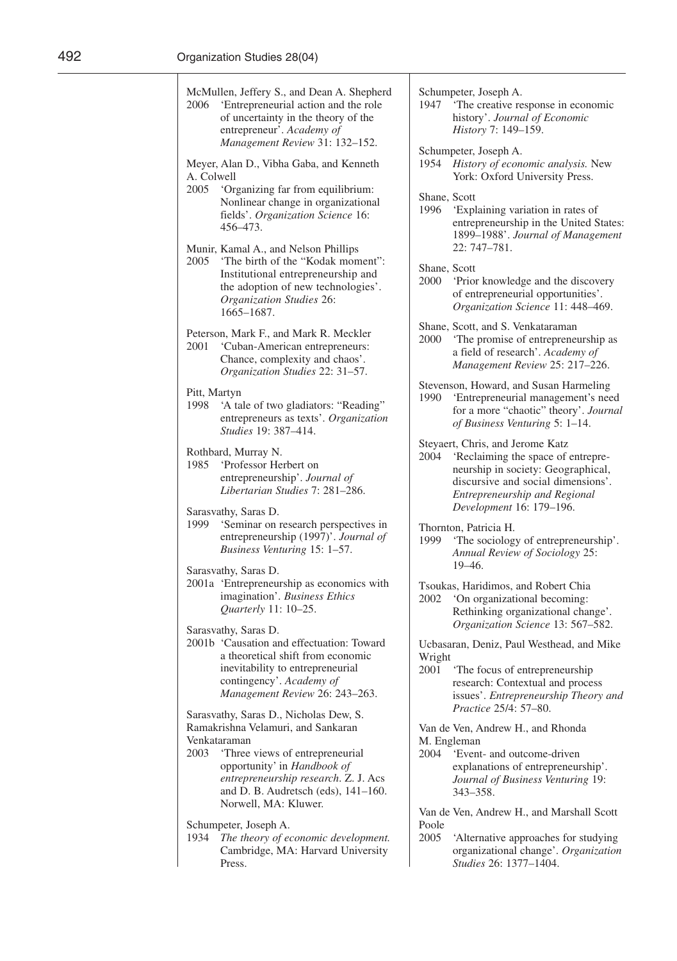| McMullen, Jeffery S., and Dean A. Shepherd<br>2006<br>'Entrepreneurial action and the role<br>of uncertainty in the theory of the<br>entrepreneur'. Academy of<br>Management Review 31: 132-152.                                                                              | Schumpeter, Joseph A.<br>The creative response in economic<br>1947<br>history'. Journal of Economic<br>History 7: 149-159.                                                                                              |
|-------------------------------------------------------------------------------------------------------------------------------------------------------------------------------------------------------------------------------------------------------------------------------|-------------------------------------------------------------------------------------------------------------------------------------------------------------------------------------------------------------------------|
| Meyer, Alan D., Vibha Gaba, and Kenneth<br>A. Colwell                                                                                                                                                                                                                         | Schumpeter, Joseph A.<br>History of economic analysis. New<br>1954<br>York: Oxford University Press.                                                                                                                    |
| 2005<br>'Organizing far from equilibrium:<br>Nonlinear change in organizational<br>fields'. Organization Science 16:<br>456-473.                                                                                                                                              | Shane, Scott<br>1996<br>'Explaining variation in rates of<br>entrepreneurship in the United States:<br>1899-1988'. Journal of Management                                                                                |
| Munir, Kamal A., and Nelson Phillips<br>'The birth of the "Kodak moment":<br>2005<br>Institutional entrepreneurship and<br>the adoption of new technologies'.<br>Organization Studies 26:<br>1665-1687.                                                                       | 22: 747-781.<br>Shane, Scott<br>2000<br>'Prior knowledge and the discovery<br>of entrepreneurial opportunities'.<br>Organization Science 11: 448-469.                                                                   |
| Peterson, Mark F., and Mark R. Meckler<br>'Cuban-American entrepreneurs:<br>2001<br>Chance, complexity and chaos'.<br>Organization Studies 22: 31-57.                                                                                                                         | Shane, Scott, and S. Venkataraman<br>'The promise of entrepreneurship as<br>2000<br>a field of research'. Academy of<br>Management Review 25: 217-226.                                                                  |
| Pitt, Martyn<br>'A tale of two gladiators: "Reading"<br>1998<br>entrepreneurs as texts'. Organization<br>Studies 19: 387-414.                                                                                                                                                 | Stevenson, Howard, and Susan Harmeling<br>'Entrepreneurial management's need<br>1990<br>for a more "chaotic" theory'. Journal<br>of Business Venturing 5: 1-14.                                                         |
| Rothbard, Murray N.<br>1985<br>'Professor Herbert on<br>entrepreneurship'. Journal of<br>Libertarian Studies 7: 281-286.<br>Sarasvathy, Saras D.                                                                                                                              | Steyaert, Chris, and Jerome Katz<br>'Reclaiming the space of entrepre-<br>2004<br>neurship in society: Geographical,<br>discursive and social dimensions'.<br>Entrepreneurship and Regional<br>Development 16: 179-196. |
| 'Seminar on research perspectives in<br>1999<br>entrepreneurship (1997)'. Journal of<br>Business Venturing 15: 1-57.                                                                                                                                                          | Thornton, Patricia H.<br>'The sociology of entrepreneurship'.<br>1999<br>Annual Review of Sociology 25:<br>$19 - 46.$                                                                                                   |
| Sarasvathy, Saras D.<br>2001a 'Entrepreneurship as economics with<br>imagination'. Business Ethics<br>Quarterly 11: 10-25.                                                                                                                                                    | Tsoukas, Haridimos, and Robert Chia<br>'On organizational becoming:<br>2002<br>Rethinking organizational change'.<br>Organization Science 13: 567-582.                                                                  |
| Sarasvathy, Saras D.<br>2001b 'Causation and effectuation: Toward<br>a theoretical shift from economic<br>inevitability to entrepreneurial<br>contingency'. Academy of<br>Management Review 26: 243-263.                                                                      | Ucbasaran, Deniz, Paul Westhead, and Mike<br>Wright<br>2001<br>'The focus of entrepreneurship<br>research: Contextual and process<br>issues'. Entrepreneurship Theory and                                               |
| Sarasvathy, Saras D., Nicholas Dew, S.<br>Ramakrishna Velamuri, and Sankaran<br>Venkataraman<br>2003<br>'Three views of entrepreneurial<br>opportunity' in Handbook of<br>entrepreneurship research. Z. J. Acs<br>and D. B. Audretsch (eds), 141–160.<br>Norwell, MA: Kluwer. | Practice 25/4: 57-80.<br>Van de Ven, Andrew H., and Rhonda<br>M. Engleman<br>2004<br>'Event- and outcome-driven<br>explanations of entrepreneurship'.<br>Journal of Business Venturing 19:<br>343-358.                  |
| Schumpeter, Joseph A.<br>1934<br>The theory of economic development.<br>Cambridge, MA: Harvard University<br>Press.                                                                                                                                                           | Van de Ven, Andrew H., and Marshall Scott<br>Poole<br>2005<br>'Alternative approaches for studying<br>organizational change'. Organization<br>Studies 26: 1377-1404.                                                    |